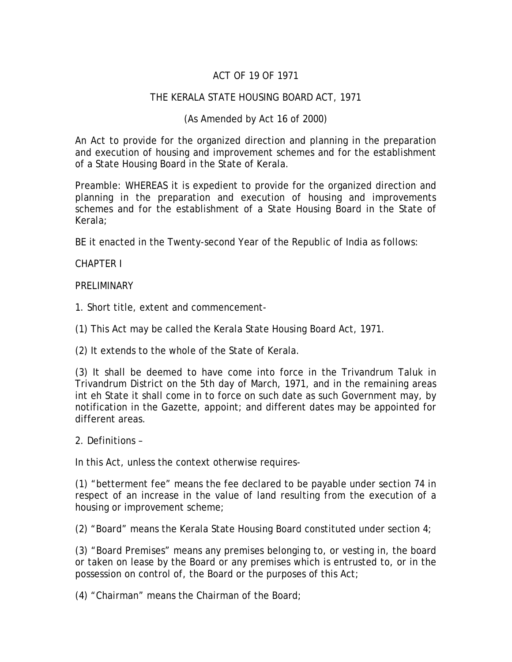# ACT OF 19 OF 1971

#### THE KERALA STATE HOUSING BOARD ACT, 1971

#### (As Amended by Act 16 of 2000)

An Act to provide for the organized direction and planning in the preparation and execution of housing and improvement schemes and for the establishment of a State Housing Board in the State of Kerala.

Preamble: WHEREAS it is expedient to provide for the organized direction and planning in the preparation and execution of housing and improvements schemes and for the establishment of a State Housing Board in the State of Kerala;

BE it enacted in the Twenty-second Year of the Republic of India as follows:

CHAPTER I

**PRELIMINARY** 

1. Short title, extent and commencement-

(1) This Act may be called the Kerala State Housing Board Act, 1971.

(2) It extends to the whole of the State of Kerala.

(3) It shall be deemed to have come into force in the Trivandrum Taluk in Trivandrum District on the 5th day of March, 1971, and in the remaining areas int eh State it shall come in to force on such date as such Government may, by notification in the Gazette, appoint; and different dates may be appointed for different areas.

2. Definitions –

In this Act, unless the context otherwise requires-

(1) "betterment fee" means the fee declared to be payable under section 74 in respect of an increase in the value of land resulting from the execution of a housing or improvement scheme;

(2) "Board" means the Kerala State Housing Board constituted under section 4;

(3) "Board Premises" means any premises belonging to, or vesting in, the board or taken on lease by the Board or any premises which is entrusted to, or in the possession on control of, the Board or the purposes of this Act;

(4) "Chairman" means the Chairman of the Board;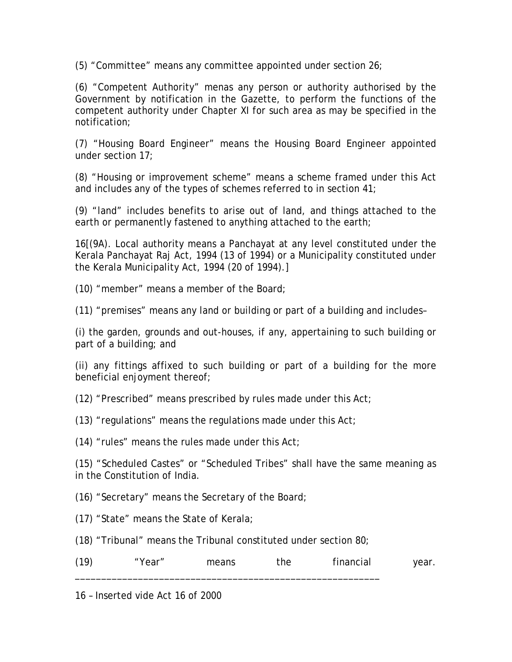(5) "Committee" means any committee appointed under section 26;

(6) "Competent Authority" menas any person or authority authorised by the Government by notification in the Gazette, to perform the functions of the competent authority under Chapter XI for such area as may be specified in the notification;

(7) "Housing Board Engineer" means the Housing Board Engineer appointed under section 17;

(8) "Housing or improvement scheme" means a scheme framed under this Act and includes any of the types of schemes referred to in section 41;

(9) "land" includes benefits to arise out of land, and things attached to the earth or permanently fastened to anything attached to the earth;

16[(9A). Local authority means a Panchayat at any level constituted under the Kerala Panchayat Raj Act, 1994 (13 of 1994) or a Municipality constituted under the Kerala Municipality Act, 1994 (20 of 1994).]

(10) "member" means a member of the Board;

(11) "premises" means any land or building or part of a building and includes–

(i) the garden, grounds and out-houses, if any, appertaining to such building or part of a building; and

(ii) any fittings affixed to such building or part of a building for the more beneficial enjoyment thereof;

(12) "Prescribed" means prescribed by rules made under this Act;

(13) "regulations" means the regulations made under this  $Act$ ;

(14) "rules" means the rules made under this Act;

(15) "Scheduled Castes" or "Scheduled Tribes" shall have the same meaning as in the Constitution of India.

(16) "Secretary" means the Secretary of the Board;

- (17) "State" means the State of Kerala;
- (18) "Tribunal" means the Tribunal constituted under section 80;

| (19) | "Year" | means | the | financial | year. |
|------|--------|-------|-----|-----------|-------|
|      |        |       |     |           |       |

16 – Inserted vide Act 16 of 2000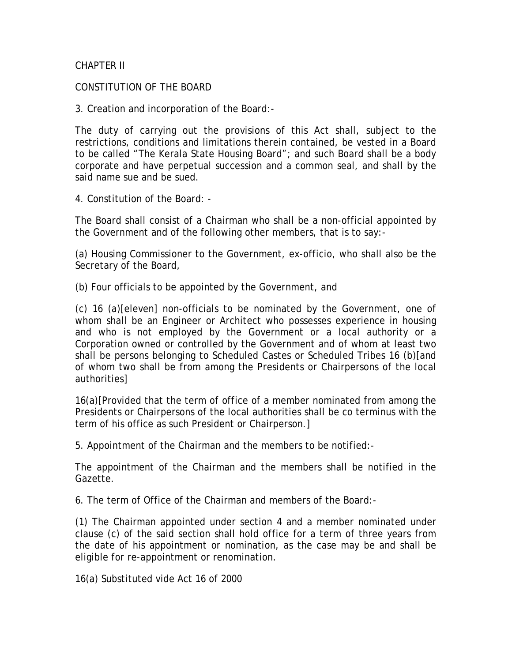#### CHAPTER II

#### CONSTITUTION OF THE BOARD

3. Creation and incorporation of the Board:-

The duty of carrying out the provisions of this Act shall, subject to the restrictions, conditions and limitations therein contained, be vested in a Board to be called "The Kerala State Housing Board"; and such Board shall be a body corporate and have perpetual succession and a common seal, and shall by the said name sue and be sued.

4. Constitution of the Board: -

The Board shall consist of a Chairman who shall be a non-official appointed by the Government and of the following other members, that is to say:-

(a) Housing Commissioner to the Government, ex-officio, who shall also be the Secretary of the Board,

(b) Four officials to be appointed by the Government, and

(c) 16 (a)[eleven] non-officials to be nominated by the Government, one of whom shall be an Engineer or Architect who possesses experience in housing and who is not employed by the Government or a local authority or a Corporation owned or controlled by the Government and of whom at least two shall be persons belonging to Scheduled Castes or Scheduled Tribes 16 (b)[and of whom two shall be from among the Presidents or Chairpersons of the local authorities]

16(a)[Provided that the term of office of a member nominated from among the Presidents or Chairpersons of the local authorities shall be co terminus with the term of his office as such President or Chairperson.]

5. Appointment of the Chairman and the members to be notified:-

The appointment of the Chairman and the members shall be notified in the Gazette.

6. The term of Office of the Chairman and members of the Board:-

(1) The Chairman appointed under section 4 and a member nominated under clause (c) of the said section shall hold office for a term of three years from the date of his appointment or nomination, as the case may be and shall be eligible for re-appointment or renomination.

16(a) Substituted vide Act 16 of 2000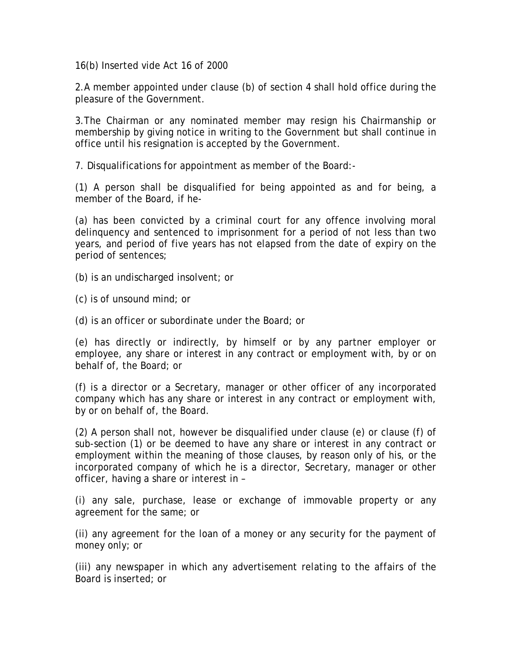16(b) Inserted vide Act 16 of 2000

2.A member appointed under clause (b) of section 4 shall hold office during the pleasure of the Government.

3.The Chairman or any nominated member may resign his Chairmanship or membership by giving notice in writing to the Government but shall continue in office until his resignation is accepted by the Government.

7. Disqualifications for appointment as member of the Board:-

(1) A person shall be disqualified for being appointed as and for being, a member of the Board, if he-

(a) has been convicted by a criminal court for any offence involving moral delinquency and sentenced to imprisonment for a period of not less than two years, and period of five years has not elapsed from the date of expiry on the period of sentences;

- (b) is an undischarged insolvent; or
- (c) is of unsound mind; or
- (d) is an officer or subordinate under the Board; or

(e) has directly or indirectly, by himself or by any partner employer or employee, any share or interest in any contract or employment with, by or on behalf of, the Board; or

(f) is a director or a Secretary, manager or other officer of any incorporated company which has any share or interest in any contract or employment with, by or on behalf of, the Board.

(2) A person shall not, however be disqualified under clause (e) or clause (f) of sub-section (1) or be deemed to have any share or interest in any contract or employment within the meaning of those clauses, by reason only of his, or the incorporated company of which he is a director, Secretary, manager or other officer, having a share or interest in –

(i) any sale, purchase, lease or exchange of immovable property or any agreement for the same; or

(ii) any agreement for the loan of a money or any security for the payment of money only; or

(iii) any newspaper in which any advertisement relating to the affairs of the Board is inserted; or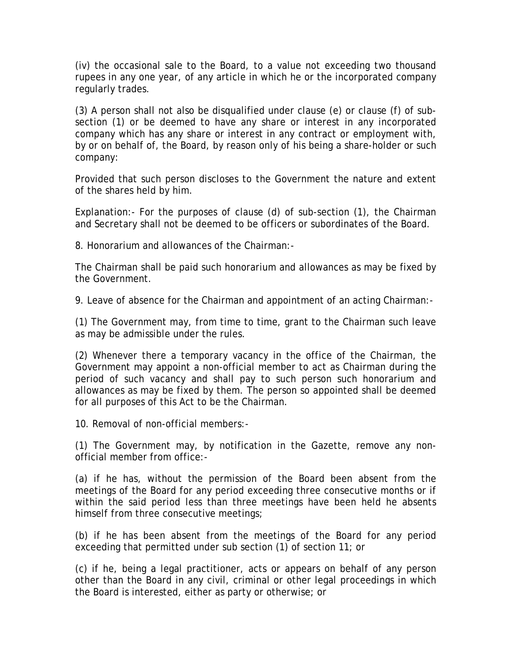(iv) the occasional sale to the Board, to a value not exceeding two thousand rupees in any one year, of any article in which he or the incorporated company regularly trades.

(3) A person shall not also be disqualified under clause (e) or clause (f) of subsection (1) or be deemed to have any share or interest in any incorporated company which has any share or interest in any contract or employment with, by or on behalf of, the Board, by reason only of his being a share-holder or such company:

Provided that such person discloses to the Government the nature and extent of the shares held by him.

Explanation:- For the purposes of clause (d) of sub-section (1), the Chairman and Secretary shall not be deemed to be officers or subordinates of the Board.

8. Honorarium and allowances of the Chairman:-

The Chairman shall be paid such honorarium and allowances as may be fixed by the Government.

9. Leave of absence for the Chairman and appointment of an acting Chairman:-

(1) The Government may, from time to time, grant to the Chairman such leave as may be admissible under the rules.

(2) Whenever there a temporary vacancy in the office of the Chairman, the Government may appoint a non-official member to act as Chairman during the period of such vacancy and shall pay to such person such honorarium and allowances as may be fixed by them. The person so appointed shall be deemed for all purposes of this Act to be the Chairman.

10. Removal of non-official members:-

(1) The Government may, by notification in the Gazette, remove any nonofficial member from office:-

(a) if he has, without the permission of the Board been absent from the meetings of the Board for any period exceeding three consecutive months or if within the said period less than three meetings have been held he absents himself from three consecutive meetings;

(b) if he has been absent from the meetings of the Board for any period exceeding that permitted under sub section (1) of section 11; or

(c) if he, being a legal practitioner, acts or appears on behalf of any person other than the Board in any civil, criminal or other legal proceedings in which the Board is interested, either as party or otherwise; or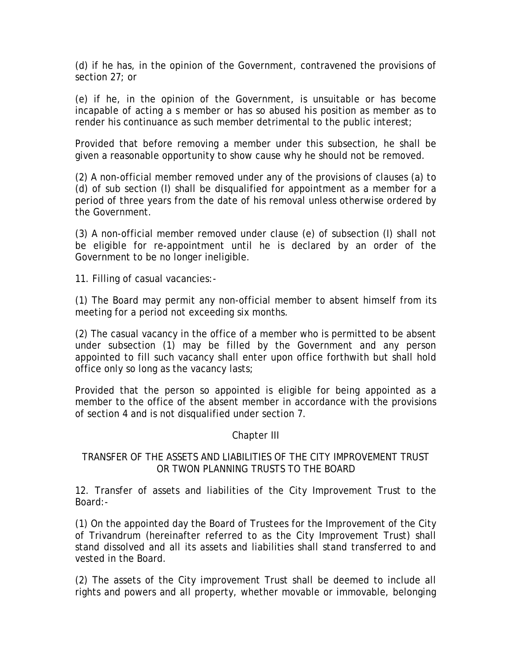(d) if he has, in the opinion of the Government, contravened the provisions of section 27; or

(e) if he, in the opinion of the Government, is unsuitable or has become incapable of acting a s member or has so abused his position as member as to render his continuance as such member detrimental to the public interest;

Provided that before removing a member under this subsection, he shall be given a reasonable opportunity to show cause why he should not be removed.

(2) A non-official member removed under any of the provisions of clauses (a) to (d) of sub section (I) shall be disqualified for appointment as a member for a period of three years from the date of his removal unless otherwise ordered by the Government.

(3) A non-official member removed under clause (e) of subsection (I) shall not be eligible for re-appointment until he is declared by an order of the Government to be no longer ineligible.

11. Filling of casual vacancies:-

(1) The Board may permit any non-official member to absent himself from its meeting for a period not exceeding six months.

(2) The casual vacancy in the office of a member who is permitted to be absent under subsection (1) may be filled by the Government and any person appointed to fill such vacancy shall enter upon office forthwith but shall hold office only so long as the vacancy lasts;

Provided that the person so appointed is eligible for being appointed as a member to the office of the absent member in accordance with the provisions of section 4 and is not disqualified under section 7.

### Chapter III

### TRANSFER OF THE ASSETS AND LIABILITIES OF THE CITY IMPROVEMENT TRUST OR TWON PLANNING TRUSTS TO THE BOARD

12. Transfer of assets and liabilities of the City Improvement Trust to the Board:-

(1) On the appointed day the Board of Trustees for the Improvement of the City of Trivandrum (hereinafter referred to as the City Improvement Trust) shall stand dissolved and all its assets and liabilities shall stand transferred to and vested in the Board.

(2) The assets of the City improvement Trust shall be deemed to include all rights and powers and all property, whether movable or immovable, belonging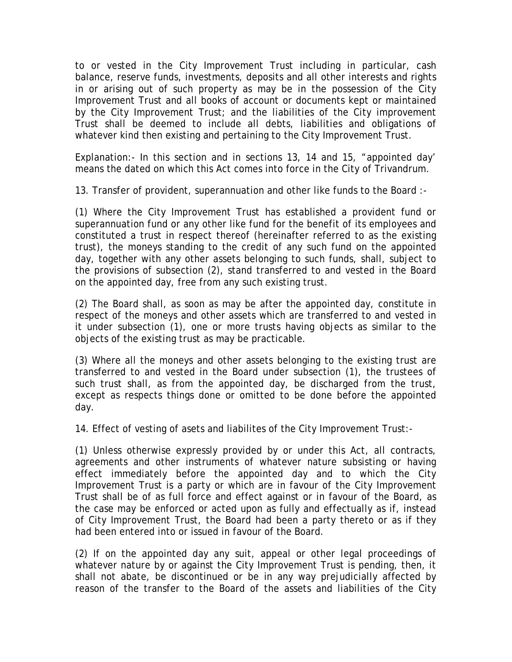to or vested in the City Improvement Trust including in particular, cash balance, reserve funds, investments, deposits and all other interests and rights in or arising out of such property as may be in the possession of the City Improvement Trust and all books of account or documents kept or maintained by the City Improvement Trust; and the liabilities of the City improvement Trust shall be deemed to include all debts, liabilities and obligations of whatever kind then existing and pertaining to the City Improvement Trust.

Explanation:- In this section and in sections 13, 14 and 15, "appointed day' means the dated on which this Act comes into force in the City of Trivandrum.

13. Transfer of provident, superannuation and other like funds to the Board :-

(1) Where the City Improvement Trust has established a provident fund or superannuation fund or any other like fund for the benefit of its employees and constituted a trust in respect thereof (hereinafter referred to as the existing trust), the moneys standing to the credit of any such fund on the appointed day, together with any other assets belonging to such funds, shall, subject to the provisions of subsection (2), stand transferred to and vested in the Board on the appointed day, free from any such existing trust.

(2) The Board shall, as soon as may be after the appointed day, constitute in respect of the moneys and other assets which are transferred to and vested in it under subsection (1), one or more trusts having objects as similar to the objects of the existing trust as may be practicable.

(3) Where all the moneys and other assets belonging to the existing trust are transferred to and vested in the Board under subsection (1), the trustees of such trust shall, as from the appointed day, be discharged from the trust, except as respects things done or omitted to be done before the appointed day.

14. Effect of vesting of asets and liabilites of the City Improvement Trust:-

(1) Unless otherwise expressly provided by or under this Act, all contracts, agreements and other instruments of whatever nature subsisting or having effect immediately before the appointed day and to which the City Improvement Trust is a party or which are in favour of the City Improvement Trust shall be of as full force and effect against or in favour of the Board, as the case may be enforced or acted upon as fully and effectually as if, instead of City Improvement Trust, the Board had been a party thereto or as if they had been entered into or issued in favour of the Board.

(2) If on the appointed day any suit, appeal or other legal proceedings of whatever nature by or against the City Improvement Trust is pending, then, it shall not abate, be discontinued or be in any way prejudicially affected by reason of the transfer to the Board of the assets and liabilities of the City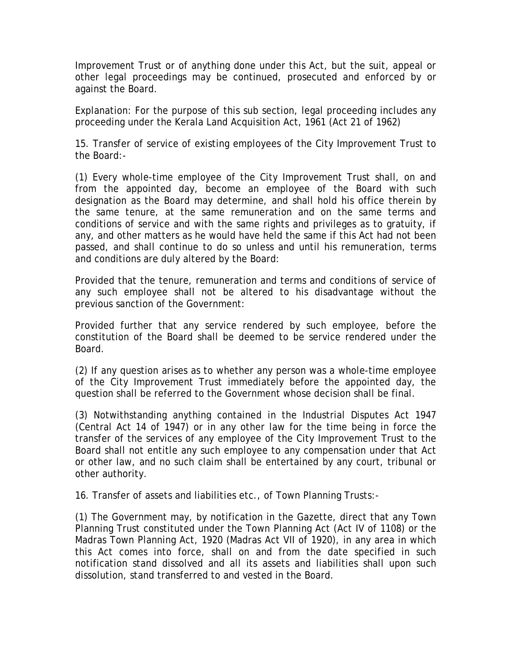Improvement Trust or of anything done under this Act, but the suit, appeal or other legal proceedings may be continued, prosecuted and enforced by or against the Board.

Explanation: For the purpose of this sub section, legal proceeding includes any proceeding under the Kerala Land Acquisition Act, 1961 (Act 21 of 1962)

15. Transfer of service of existing employees of the City Improvement Trust to the Board:-

(1) Every whole-time employee of the City Improvement Trust shall, on and from the appointed day, become an employee of the Board with such designation as the Board may determine, and shall hold his office therein by the same tenure, at the same remuneration and on the same terms and conditions of service and with the same rights and privileges as to gratuity, if any, and other matters as he would have held the same if this Act had not been passed, and shall continue to do so unless and until his remuneration, terms and conditions are duly altered by the Board:

Provided that the tenure, remuneration and terms and conditions of service of any such employee shall not be altered to his disadvantage without the previous sanction of the Government:

Provided further that any service rendered by such employee, before the constitution of the Board shall be deemed to be service rendered under the Board.

(2) If any question arises as to whether any person was a whole-time employee of the City Improvement Trust immediately before the appointed day, the question shall be referred to the Government whose decision shall be final.

(3) Notwithstanding anything contained in the Industrial Disputes Act 1947 (Central Act 14 of 1947) or in any other law for the time being in force the transfer of the services of any employee of the City Improvement Trust to the Board shall not entitle any such employee to any compensation under that Act or other law, and no such claim shall be entertained by any court, tribunal or other authority.

16. Transfer of assets and liabilities etc., of Town Planning Trusts:-

(1) The Government may, by notification in the Gazette, direct that any Town Planning Trust constituted under the Town Planning Act (Act IV of 1108) or the Madras Town Planning Act, 1920 (Madras Act VII of 1920), in any area in which this Act comes into force, shall on and from the date specified in such notification stand dissolved and all its assets and liabilities shall upon such dissolution, stand transferred to and vested in the Board.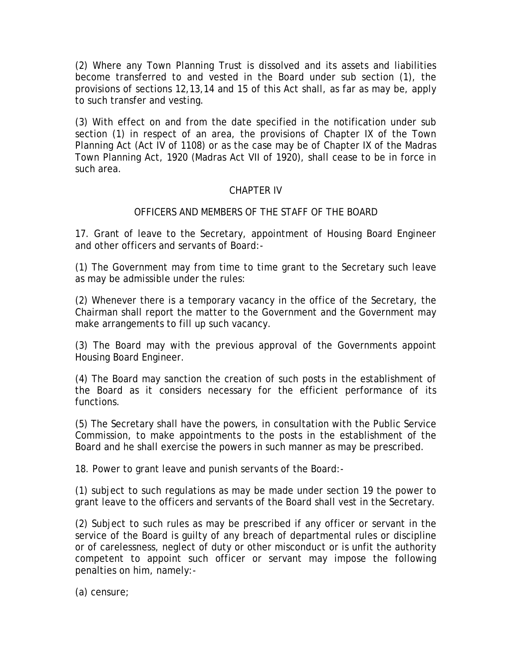(2) Where any Town Planning Trust is dissolved and its assets and liabilities become transferred to and vested in the Board under sub section (1), the provisions of sections 12,13,14 and 15 of this Act shall, as far as may be, apply to such transfer and vesting.

(3) With effect on and from the date specified in the notification under sub section (1) in respect of an area, the provisions of Chapter IX of the Town Planning Act (Act IV of 1108) or as the case may be of Chapter IX of the Madras Town Planning Act, 1920 (Madras Act VII of 1920), shall cease to be in force in such area.

### CHAPTER IV

#### OFFICERS AND MEMBERS OF THE STAFF OF THE BOARD

17. Grant of leave to the Secretary, appointment of Housing Board Engineer and other officers and servants of Board:-

(1) The Government may from time to time grant to the Secretary such leave as may be admissible under the rules:

(2) Whenever there is a temporary vacancy in the office of the Secretary, the Chairman shall report the matter to the Government and the Government may make arrangements to fill up such vacancy.

(3) The Board may with the previous approval of the Governments appoint Housing Board Engineer.

(4) The Board may sanction the creation of such posts in the establishment of the Board as it considers necessary for the efficient performance of its functions.

(5) The Secretary shall have the powers, in consultation with the Public Service Commission, to make appointments to the posts in the establishment of the Board and he shall exercise the powers in such manner as may be prescribed.

18. Power to grant leave and punish servants of the Board:-

(1) subject to such regulations as may be made under section 19 the power to grant leave to the officers and servants of the Board shall vest in the Secretary.

(2) Subject to such rules as may be prescribed if any officer or servant in the service of the Board is guilty of any breach of departmental rules or discipline or of carelessness, neglect of duty or other misconduct or is unfit the authority competent to appoint such officer or servant may impose the following penalties on him, namely:-

(a) censure;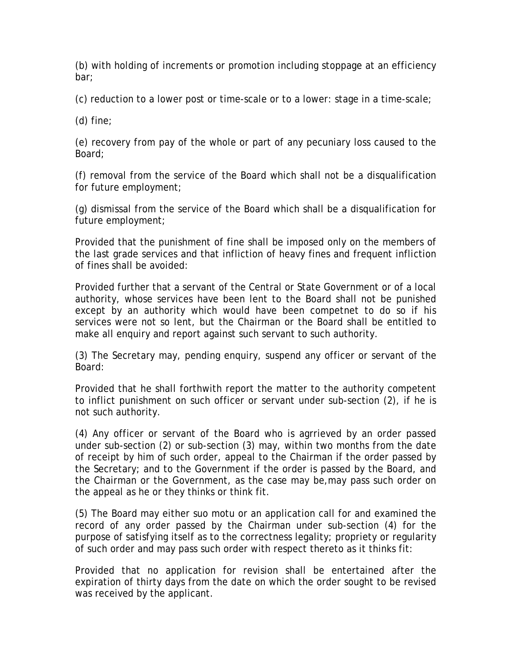(b) with holding of increments or promotion including stoppage at an efficiency bar;

(c) reduction to a lower post or time-scale or to a lower: stage in a time-scale;

(d) fine;

(e) recovery from pay of the whole or part of any pecuniary loss caused to the Board;

(f) removal from the service of the Board which shall not be a disqualification for future employment;

(g) dismissal from the service of the Board which shall be a disqualification for future employment;

Provided that the punishment of fine shall be imposed only on the members of the last grade services and that infliction of heavy fines and frequent infliction of fines shall be avoided:

Provided further that a servant of the Central or State Government or of a local authority, whose services have been lent to the Board shall not be punished except by an authority which would have been competnet to do so if his services were not so lent, but the Chairman or the Board shall be entitled to make all enquiry and report against such servant to such authority.

(3) The Secretary may, pending enquiry, suspend any officer or servant of the Board:

Provided that he shall forthwith report the matter to the authority competent to inflict punishment on such officer or servant under sub-section (2), if he is not such authority.

(4) Any officer or servant of the Board who is agrrieved by an order passed under sub-section (2) or sub-section (3) may, within two months from the date of receipt by him of such order, appeal to the Chairman if the order passed by the Secretary; and to the Government if the order is passed by the Board, and the Chairman or the Government, as the case may be,may pass such order on the appeal as he or they thinks or think fit.

(5) The Board may either suo motu or an application call for and examined the record of any order passed by the Chairman under sub-section (4) for the purpose of satisfying itself as to the correctness legality; propriety or regularity of such order and may pass such order with respect thereto as it thinks fit:

Provided that no application for revision shall be entertained after the expiration of thirty days from the date on which the order sought to be revised was received by the applicant.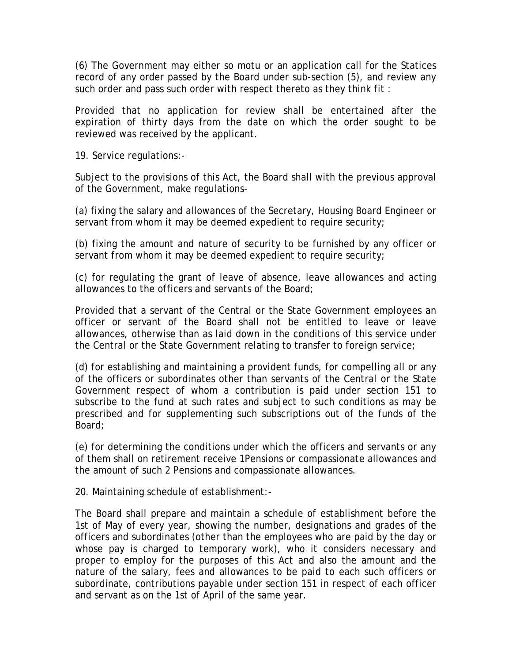(6) The Government may either so motu or an application call for the Statices record of any order passed by the Board under sub-section (5), and review any such order and pass such order with respect thereto as they think fit :

Provided that no application for review shall be entertained after the expiration of thirty days from the date on which the order sought to be reviewed was received by the applicant.

19. Service regulations:-

Subject to the provisions of this Act, the Board shall with the previous approval of the Government, make regulations-

(a) fixing the salary and allowances of the Secretary, Housing Board Engineer or servant from whom it may be deemed expedient to require security;

(b) fixing the amount and nature of security to be furnished by any officer or servant from whom it may be deemed expedient to require security;

(c) for regulating the grant of leave of absence, leave allowances and acting allowances to the officers and servants of the Board;

Provided that a servant of the Central or the State Government employees an officer or servant of the Board shall not be entitled to leave or leave allowances, otherwise than as laid down in the conditions of this service under the Central or the State Government relating to transfer to foreign service;

(d) for establishing and maintaining a provident funds, for compelling all or any of the officers or subordinates other than servants of the Central or the State Government respect of whom a contribution is paid under section 151 to subscribe to the fund at such rates and subject to such conditions as may be prescribed and for supplementing such subscriptions out of the funds of the Board;

(e) for determining the conditions under which the officers and servants or any of them shall on retirement receive 1Pensions or compassionate allowances and the amount of such 2 Pensions and compassionate allowances.

20. Maintaining schedule of establishment:-

The Board shall prepare and maintain a schedule of establishment before the 1st of May of every year, showing the number, designations and grades of the officers and subordinates (other than the employees who are paid by the day or whose pay is charged to temporary work), who it considers necessary and proper to employ for the purposes of this Act and also the amount and the nature of the salary, fees and allowances to be paid to each such officers or subordinate, contributions payable under section 151 in respect of each officer and servant as on the 1st of April of the same year.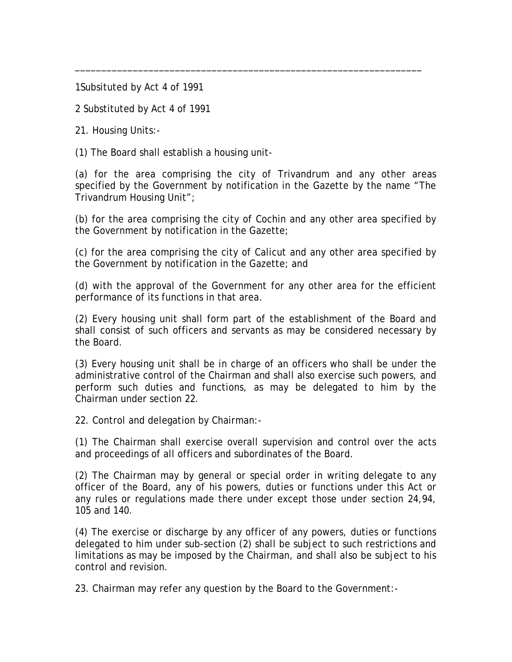1Subsituted by Act 4 of 1991

2 Substituted by Act 4 of 1991

21. Housing Units:-

(1) The Board shall establish a housing unit-

(a) for the area comprising the city of Trivandrum and any other areas specified by the Government by notification in the Gazette by the name "The Trivandrum Housing Unit";

\_\_\_\_\_\_\_\_\_\_\_\_\_\_\_\_\_\_\_\_\_\_\_\_\_\_\_\_\_\_\_\_\_\_\_\_\_\_\_\_\_\_\_\_\_\_\_\_\_\_\_\_\_\_\_\_\_\_\_\_\_\_\_\_\_\_

(b) for the area comprising the city of Cochin and any other area specified by the Government by notification in the Gazette;

(c) for the area comprising the city of Calicut and any other area specified by the Government by notification in the Gazette; and

(d) with the approval of the Government for any other area for the efficient performance of its functions in that area.

(2) Every housing unit shall form part of the establishment of the Board and shall consist of such officers and servants as may be considered necessary by the Board.

(3) Every housing unit shall be in charge of an officers who shall be under the administrative control of the Chairman and shall also exercise such powers, and perform such duties and functions, as may be delegated to him by the Chairman under section 22.

22. Control and delegation by Chairman:-

(1) The Chairman shall exercise overall supervision and control over the acts and proceedings of all officers and subordinates of the Board.

(2) The Chairman may by general or special order in writing delegate to any officer of the Board, any of his powers, duties or functions under this Act or any rules or regulations made there under except those under section 24,94, 105 and 140.

(4) The exercise or discharge by any officer of any powers, duties or functions delegated to him under sub-section (2) shall be subject to such restrictions and limitations as may be imposed by the Chairman, and shall also be subject to his control and revision.

23. Chairman may refer any question by the Board to the Government:-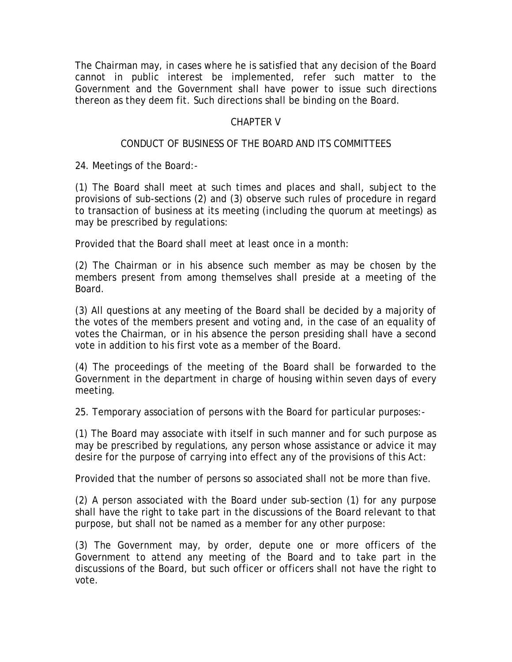The Chairman may, in cases where he is satisfied that any decision of the Board cannot in public interest be implemented, refer such matter to the Government and the Government shall have power to issue such directions thereon as they deem fit. Such directions shall be binding on the Board.

### CHAPTER V

# CONDUCT OF BUSINESS OF THE BOARD AND ITS COMMITTEES

24. Meetings of the Board:-

(1) The Board shall meet at such times and places and shall, subject to the provisions of sub-sections (2) and (3) observe such rules of procedure in regard to transaction of business at its meeting (including the quorum at meetings) as may be prescribed by regulations:

Provided that the Board shall meet at least once in a month:

(2) The Chairman or in his absence such member as may be chosen by the members present from among themselves shall preside at a meeting of the Board.

(3) All questions at any meeting of the Board shall be decided by a majority of the votes of the members present and voting and, in the case of an equality of votes the Chairman, or in his absence the person presiding shall have a second vote in addition to his first vote as a member of the Board.

(4) The proceedings of the meeting of the Board shall be forwarded to the Government in the department in charge of housing within seven days of every meeting.

25. Temporary association of persons with the Board for particular purposes:-

(1) The Board may associate with itself in such manner and for such purpose as may be prescribed by regulations, any person whose assistance or advice it may desire for the purpose of carrying into effect any of the provisions of this Act:

Provided that the number of persons so associated shall not be more than five.

(2) A person associated with the Board under sub-section (1) for any purpose shall have the right to take part in the discussions of the Board relevant to that purpose, but shall not be named as a member for any other purpose:

(3) The Government may, by order, depute one or more officers of the Government to attend any meeting of the Board and to take part in the discussions of the Board, but such officer or officers shall not have the right to vote.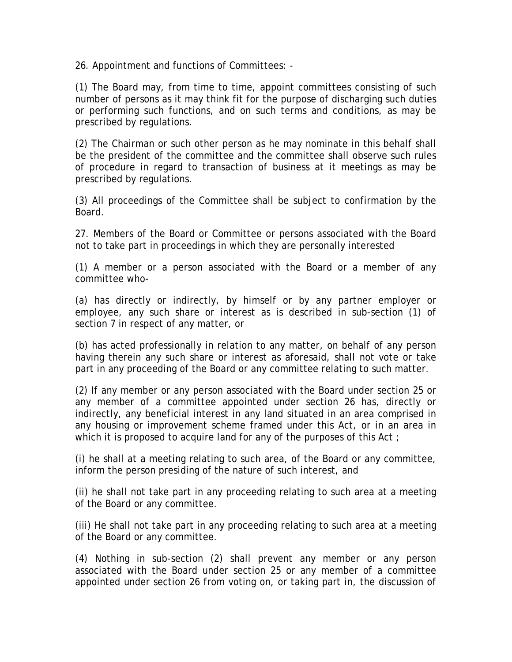26. Appointment and functions of Committees: -

(1) The Board may, from time to time, appoint committees consisting of such number of persons as it may think fit for the purpose of discharging such duties or performing such functions, and on such terms and conditions, as may be prescribed by regulations.

(2) The Chairman or such other person as he may nominate in this behalf shall be the president of the committee and the committee shall observe such rules of procedure in regard to transaction of business at it meetings as may be prescribed by regulations.

(3) All proceedings of the Committee shall be subject to confirmation by the Board.

27. Members of the Board or Committee or persons associated with the Board not to take part in proceedings in which they are personally interested

(1) A member or a person associated with the Board or a member of any committee who-

(a) has directly or indirectly, by himself or by any partner employer or employee, any such share or interest as is described in sub-section (1) of section 7 in respect of any matter, or

(b) has acted professionally in relation to any matter, on behalf of any person having therein any such share or interest as aforesaid, shall not vote or take part in any proceeding of the Board or any committee relating to such matter.

(2) If any member or any person associated with the Board under section 25 or any member of a committee appointed under section 26 has, directly or indirectly, any beneficial interest in any land situated in an area comprised in any housing or improvement scheme framed under this Act, or in an area in which it is proposed to acquire land for any of the purposes of this Act;

(i) he shall at a meeting relating to such area, of the Board or any committee, inform the person presiding of the nature of such interest, and

(ii) he shall not take part in any proceeding relating to such area at a meeting of the Board or any committee.

(iii) He shall not take part in any proceeding relating to such area at a meeting of the Board or any committee.

(4) Nothing in sub-section (2) shall prevent any member or any person associated with the Board under section 25 or any member of a committee appointed under section 26 from voting on, or taking part in, the discussion of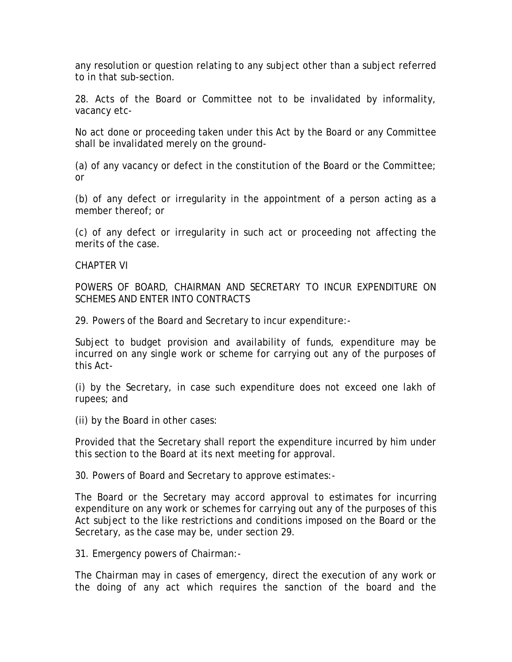any resolution or question relating to any subject other than a subject referred to in that sub-section.

28. Acts of the Board or Committee not to be invalidated by informality, vacancy etc-

No act done or proceeding taken under this Act by the Board or any Committee shall be invalidated merely on the ground-

(a) of any vacancy or defect in the constitution of the Board or the Committee; or

(b) of any defect or irregularity in the appointment of a person acting as a member thereof; or

(c) of any defect or irregularity in such act or proceeding not affecting the merits of the case.

CHAPTER VI

POWERS OF BOARD, CHAIRMAN AND SECRETARY TO INCUR EXPENDITURE ON SCHEMES AND ENTER INTO CONTRACTS

29. Powers of the Board and Secretary to incur expenditure:-

Subject to budget provision and availability of funds, expenditure may be incurred on any single work or scheme for carrying out any of the purposes of this Act-

(i) by the Secretary, in case such expenditure does not exceed one lakh of rupees; and

(ii) by the Board in other cases:

Provided that the Secretary shall report the expenditure incurred by him under this section to the Board at its next meeting for approval.

30. Powers of Board and Secretary to approve estimates:-

The Board or the Secretary may accord approval to estimates for incurring expenditure on any work or schemes for carrying out any of the purposes of this Act subject to the like restrictions and conditions imposed on the Board or the Secretary, as the case may be, under section 29.

31. Emergency powers of Chairman:-

The Chairman may in cases of emergency, direct the execution of any work or the doing of any act which requires the sanction of the board and the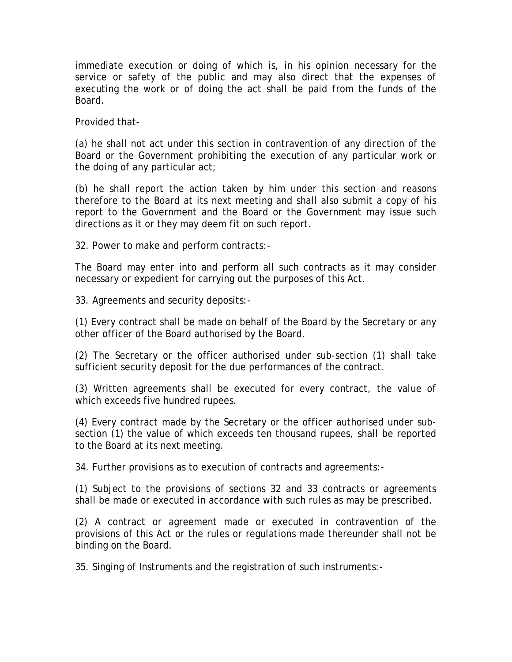immediate execution or doing of which is, in his opinion necessary for the service or safety of the public and may also direct that the expenses of executing the work or of doing the act shall be paid from the funds of the Board.

Provided that-

(a) he shall not act under this section in contravention of any direction of the Board or the Government prohibiting the execution of any particular work or the doing of any particular act;

(b) he shall report the action taken by him under this section and reasons therefore to the Board at its next meeting and shall also submit a copy of his report to the Government and the Board or the Government may issue such directions as it or they may deem fit on such report.

32. Power to make and perform contracts:-

The Board may enter into and perform all such contracts as it may consider necessary or expedient for carrying out the purposes of this Act.

33. Agreements and security deposits:-

(1) Every contract shall be made on behalf of the Board by the Secretary or any other officer of the Board authorised by the Board.

(2) The Secretary or the officer authorised under sub-section (1) shall take sufficient security deposit for the due performances of the contract.

(3) Written agreements shall be executed for every contract, the value of which exceeds five hundred rupees.

(4) Every contract made by the Secretary or the officer authorised under subsection (1) the value of which exceeds ten thousand rupees, shall be reported to the Board at its next meeting.

34. Further provisions as to execution of contracts and agreements:-

(1) Subject to the provisions of sections 32 and 33 contracts or agreements shall be made or executed in accordance with such rules as may be prescribed.

(2) A contract or agreement made or executed in contravention of the provisions of this Act or the rules or regulations made thereunder shall not be binding on the Board.

35. Singing of Instruments and the registration of such instruments:-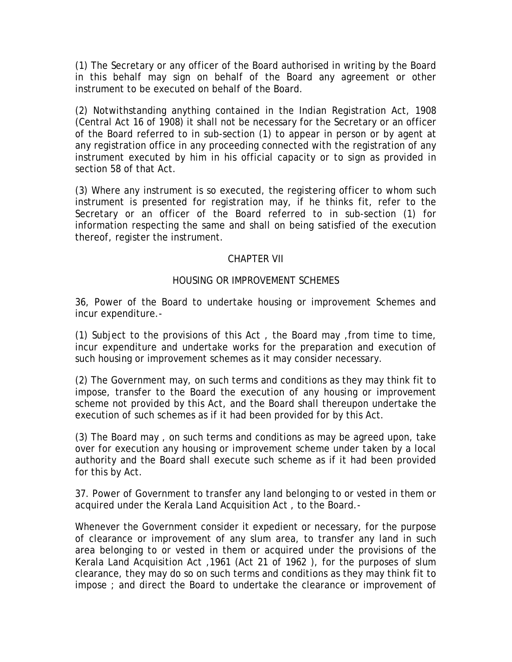(1) The Secretary or any officer of the Board authorised in writing by the Board in this behalf may sign on behalf of the Board any agreement or other instrument to be executed on behalf of the Board.

(2) Notwithstanding anything contained in the Indian Registration Act, 1908 (Central Act 16 of 1908) it shall not be necessary for the Secretary or an officer of the Board referred to in sub-section (1) to appear in person or by agent at any registration office in any proceeding connected with the registration of any instrument executed by him in his official capacity or to sign as provided in section 58 of that Act.

(3) Where any instrument is so executed, the registering officer to whom such instrument is presented for registration may, if he thinks fit, refer to the Secretary or an officer of the Board referred to in sub-section (1) for information respecting the same and shall on being satisfied of the execution thereof, register the instrument.

### CHAPTER VII

# HOUSING OR IMPROVEMENT SCHEMES

36, Power of the Board to undertake housing or improvement Schemes and incur expenditure.-

(1) Subject to the provisions of this Act , the Board may ,from time to time, incur expenditure and undertake works for the preparation and execution of such housing or improvement schemes as it may consider necessary.

(2) The Government may, on such terms and conditions as they may think fit to impose, transfer to the Board the execution of any housing or improvement scheme not provided by this Act, and the Board shall thereupon undertake the execution of such schemes as if it had been provided for by this Act.

(3) The Board may , on such terms and conditions as may be agreed upon, take over for execution any housing or improvement scheme under taken by a local authority and the Board shall execute such scheme as if it had been provided for this by Act.

37. Power of Government to transfer any land belonging to or vested in them or acquired under the Kerala Land Acquisition Act , to the Board.-

Whenever the Government consider it expedient or necessary, for the purpose of clearance or improvement of any slum area, to transfer any land in such area belonging to or vested in them or acquired under the provisions of the Kerala Land Acquisition Act ,1961 (Act 21 of 1962 ), for the purposes of slum clearance, they may do so on such terms and conditions as they may think fit to impose ; and direct the Board to undertake the clearance or improvement of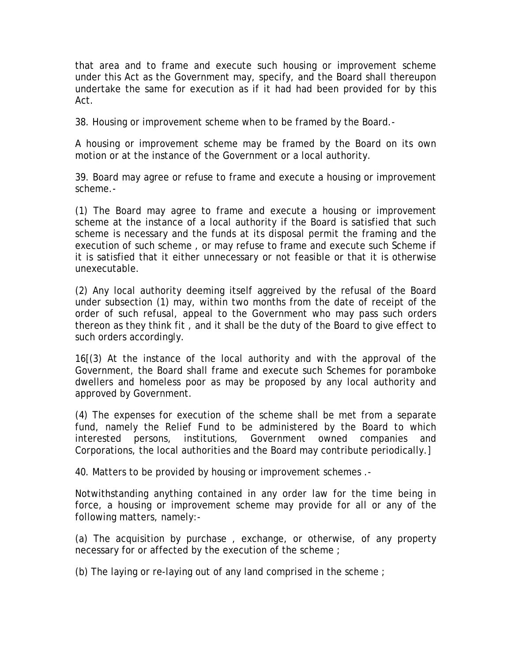that area and to frame and execute such housing or improvement scheme under this Act as the Government may, specify, and the Board shall thereupon undertake the same for execution as if it had had been provided for by this Act.

38. Housing or improvement scheme when to be framed by the Board.-

A housing or improvement scheme may be framed by the Board on its own motion or at the instance of the Government or a local authority.

39. Board may agree or refuse to frame and execute a housing or improvement scheme.-

(1) The Board may agree to frame and execute a housing or improvement scheme at the instance of a local authority if the Board is satisfied that such scheme is necessary and the funds at its disposal permit the framing and the execution of such scheme , or may refuse to frame and execute such Scheme if it is satisfied that it either unnecessary or not feasible or that it is otherwise unexecutable.

(2) Any local authority deeming itself aggreived by the refusal of the Board under subsection (1) may, within two months from the date of receipt of the order of such refusal, appeal to the Government who may pass such orders thereon as they think fit , and it shall be the duty of the Board to give effect to such orders accordingly.

16[(3) At the instance of the local authority and with the approval of the Government, the Board shall frame and execute such Schemes for poramboke dwellers and homeless poor as may be proposed by any local authority and approved by Government.

(4) The expenses for execution of the scheme shall be met from a separate fund, namely the Relief Fund to be administered by the Board to which interested persons, institutions, Government owned companies and Corporations, the local authorities and the Board may contribute periodically.]

40. Matters to be provided by housing or improvement schemes .-

Notwithstanding anything contained in any order law for the time being in force, a housing or improvement scheme may provide for all or any of the following matters, namely:-

(a) The acquisition by purchase , exchange, or otherwise, of any property necessary for or affected by the execution of the scheme;

(b) The laying or re-laying out of any land comprised in the scheme ;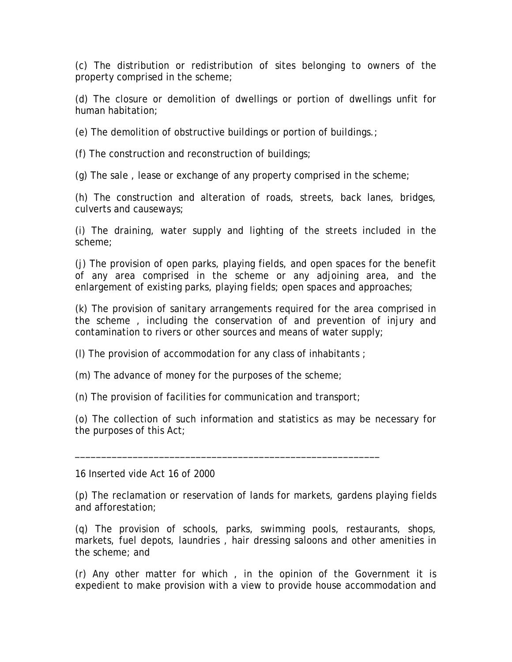(c) The distribution or redistribution of sites belonging to owners of the property comprised in the scheme;

(d) The closure or demolition of dwellings or portion of dwellings unfit for human habitation;

(e) The demolition of obstructive buildings or portion of buildings.;

(f) The construction and reconstruction of buildings;

(g) The sale , lease or exchange of any property comprised in the scheme;

(h) The construction and alteration of roads, streets, back lanes, bridges, culverts and causeways;

(i) The draining, water supply and lighting of the streets included in the scheme;

(j) The provision of open parks, playing fields, and open spaces for the benefit of any area comprised in the scheme or any adjoining area, and the enlargement of existing parks, playing fields; open spaces and approaches;

(k) The provision of sanitary arrangements required for the area comprised in the scheme , including the conservation of and prevention of injury and contamination to rivers or other sources and means of water supply;

(l) The provision of accommodation for any class of inhabitants ;

(m) The advance of money for the purposes of the scheme;

(n) The provision of facilities for communication and transport;

\_\_\_\_\_\_\_\_\_\_\_\_\_\_\_\_\_\_\_\_\_\_\_\_\_\_\_\_\_\_\_\_\_\_\_\_\_\_\_\_\_\_\_\_\_\_\_\_\_\_\_\_\_\_\_\_\_\_

(o) The collection of such information and statistics as may be necessary for the purposes of this Act;

16 Inserted vide Act 16 of 2000

(p) The reclamation or reservation of lands for markets, gardens playing fields and afforestation;

(q) The provision of schools, parks, swimming pools, restaurants, shops, markets, fuel depots, laundries , hair dressing saloons and other amenities in the scheme; and

(r) Any other matter for which , in the opinion of the Government it is expedient to make provision with a view to provide house accommodation and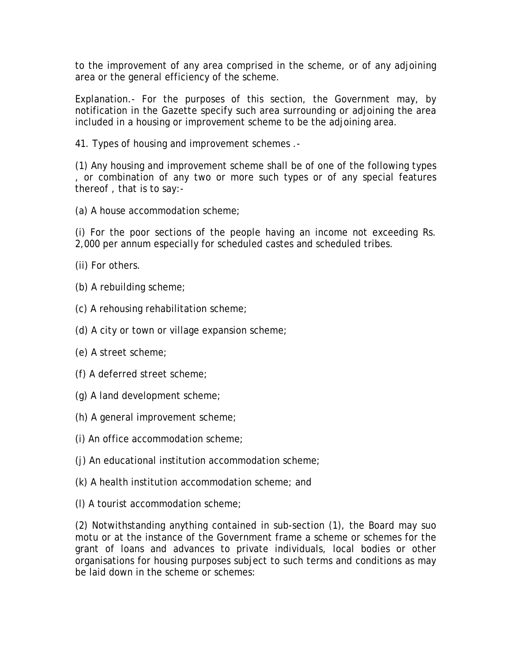to the improvement of any area comprised in the scheme, or of any adjoining area or the general efficiency of the scheme.

Explanation.- For the purposes of this section, the Government may, by notification in the Gazette specify such area surrounding or adjoining the area included in a housing or improvement scheme to be the adjoining area.

41. Types of housing and improvement schemes .-

(1) Any housing and improvement scheme shall be of one of the following types , or combination of any two or more such types or of any special features thereof , that is to say:-

(a) A house accommodation scheme;

(i) For the poor sections of the people having an income not exceeding Rs. 2,000 per annum especially for scheduled castes and scheduled tribes.

- (ii) For others.
- (b) A rebuilding scheme;
- (c) A rehousing rehabilitation scheme;
- (d) A city or town or village expansion scheme;
- (e) A street scheme;
- (f) A deferred street scheme;
- (g) A land development scheme;
- (h) A general improvement scheme;
- (i) An office accommodation scheme;
- (j) An educational institution accommodation scheme;
- (k) A health institution accommodation scheme; and
- (l) A tourist accommodation scheme;

(2) Notwithstanding anything contained in sub-section (1), the Board may suo motu or at the instance of the Government frame a scheme or schemes for the grant of loans and advances to private individuals, local bodies or other organisations for housing purposes subject to such terms and conditions as may be laid down in the scheme or schemes: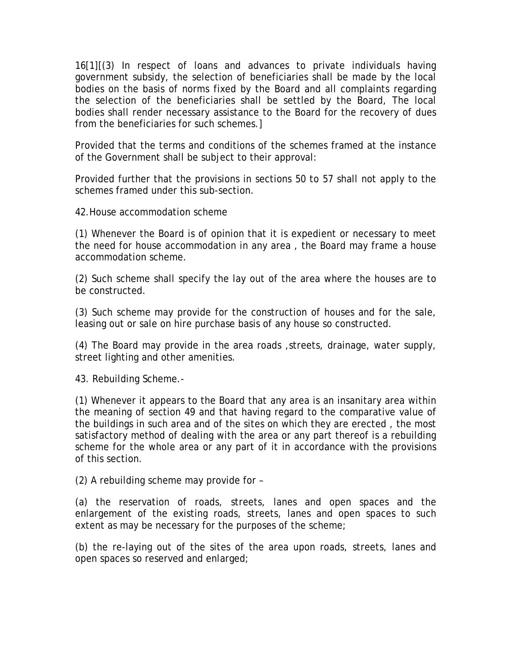16[1][(3) In respect of loans and advances to private individuals having government subsidy, the selection of beneficiaries shall be made by the local bodies on the basis of norms fixed by the Board and all complaints regarding the selection of the beneficiaries shall be settled by the Board, The local bodies shall render necessary assistance to the Board for the recovery of dues from the beneficiaries for such schemes.]

Provided that the terms and conditions of the schemes framed at the instance of the Government shall be subject to their approval:

Provided further that the provisions in sections 50 to 57 shall not apply to the schemes framed under this sub-section.

42.House accommodation scheme

(1) Whenever the Board is of opinion that it is expedient or necessary to meet the need for house accommodation in any area , the Board may frame a house accommodation scheme.

(2) Such scheme shall specify the lay out of the area where the houses are to be constructed.

(3) Such scheme may provide for the construction of houses and for the sale, leasing out or sale on hire purchase basis of any house so constructed.

(4) The Board may provide in the area roads ,streets, drainage, water supply, street lighting and other amenities.

43. Rebuilding Scheme.-

(1) Whenever it appears to the Board that any area is an insanitary area within the meaning of section 49 and that having regard to the comparative value of the buildings in such area and of the sites on which they are erected , the most satisfactory method of dealing with the area or any part thereof is a rebuilding scheme for the whole area or any part of it in accordance with the provisions of this section.

(2) A rebuilding scheme may provide for –

(a) the reservation of roads, streets, lanes and open spaces and the enlargement of the existing roads, streets, lanes and open spaces to such extent as may be necessary for the purposes of the scheme;

(b) the re-laying out of the sites of the area upon roads, streets, lanes and open spaces so reserved and enlarged;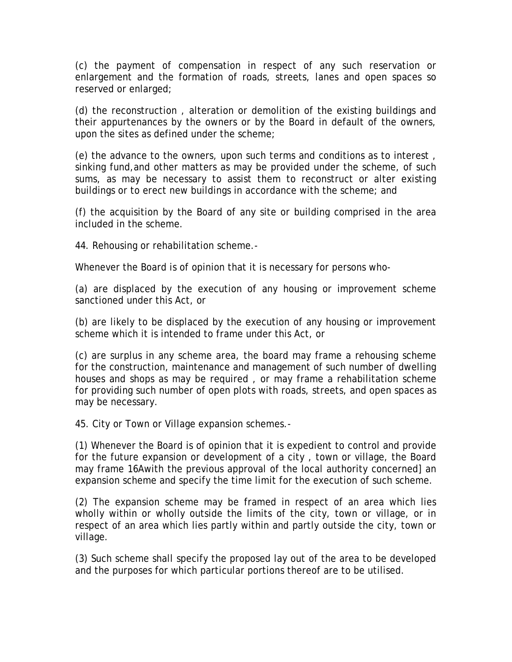(c) the payment of compensation in respect of any such reservation or enlargement and the formation of roads, streets, lanes and open spaces so reserved or enlarged;

(d) the reconstruction , alteration or demolition of the existing buildings and their appurtenances by the owners or by the Board in default of the owners, upon the sites as defined under the scheme;

(e) the advance to the owners, upon such terms and conditions as to interest , sinking fund,and other matters as may be provided under the scheme, of such sums, as may be necessary to assist them to reconstruct or alter existing buildings or to erect new buildings in accordance with the scheme; and

(f) the acquisition by the Board of any site or building comprised in the area included in the scheme.

44. Rehousing or rehabilitation scheme.-

Whenever the Board is of opinion that it is necessary for persons who-

(a) are displaced by the execution of any housing or improvement scheme sanctioned under this Act, or

(b) are likely to be displaced by the execution of any housing or improvement scheme which it is intended to frame under this Act, or

(c) are surplus in any scheme area, the board may frame a rehousing scheme for the construction, maintenance and management of such number of dwelling houses and shops as may be required , or may frame a rehabilitation scheme for providing such number of open plots with roads, streets, and open spaces as may be necessary.

45. City or Town or Village expansion schemes.-

(1) Whenever the Board is of opinion that it is expedient to control and provide for the future expansion or development of a city , town or village, the Board may frame 16Awith the previous approval of the local authority concerned] an expansion scheme and specify the time limit for the execution of such scheme.

(2) The expansion scheme may be framed in respect of an area which lies wholly within or wholly outside the limits of the city, town or village, or in respect of an area which lies partly within and partly outside the city, town or village.

(3) Such scheme shall specify the proposed lay out of the area to be developed and the purposes for which particular portions thereof are to be utilised.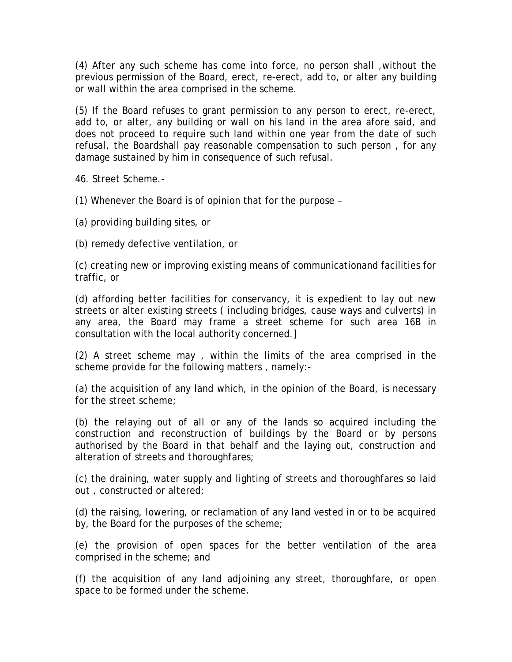(4) After any such scheme has come into force, no person shall ,without the previous permission of the Board, erect, re-erect, add to, or alter any building or wall within the area comprised in the scheme.

(5) If the Board refuses to grant permission to any person to erect, re-erect, add to, or alter, any building or wall on his land in the area afore said, and does not proceed to require such land within one year from the date of such refusal, the Boardshall pay reasonable compensation to such person , for any damage sustained by him in consequence of such refusal.

46. Street Scheme.-

(1) Whenever the Board is of opinion that for the purpose –

(a) providing building sites, or

(b) remedy defective ventilation, or

(c) creating new or improving existing means of communicationand facilities for traffic, or

(d) affording better facilities for conservancy, it is expedient to lay out new streets or alter existing streets ( including bridges, cause ways and culverts) in any area, the Board may frame a street scheme for such area 16B in consultation with the local authority concerned.]

(2) A street scheme may , within the limits of the area comprised in the scheme provide for the following matters , namely:-

(a) the acquisition of any land which, in the opinion of the Board, is necessary for the street scheme;

(b) the relaying out of all or any of the lands so acquired including the construction and reconstruction of buildings by the Board or by persons authorised by the Board in that behalf and the laying out, construction and alteration of streets and thoroughfares;

(c) the draining, water supply and lighting of streets and thoroughfares so laid out , constructed or altered;

(d) the raising, lowering, or reclamation of any land vested in or to be acquired by, the Board for the purposes of the scheme;

(e) the provision of open spaces for the better ventilation of the area comprised in the scheme; and

(f) the acquisition of any land adjoining any street, thoroughfare, or open space to be formed under the scheme.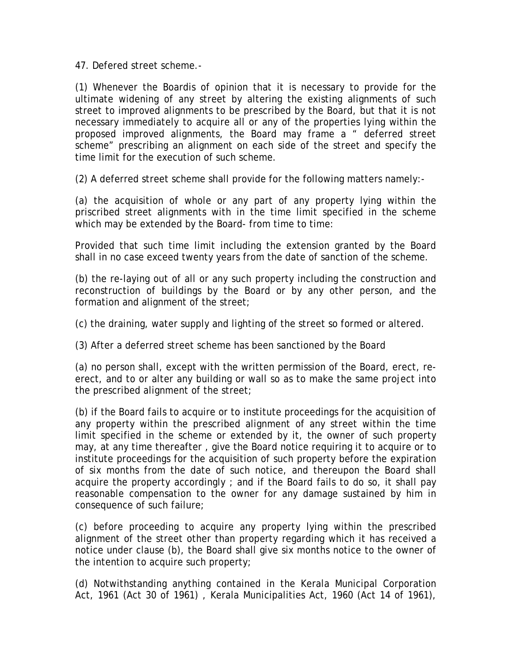47. Defered street scheme.-

(1) Whenever the Boardis of opinion that it is necessary to provide for the ultimate widening of any street by altering the existing alignments of such street to improved alignments to be prescribed by the Board, but that it is not necessary immediately to acquire all or any of the properties lying within the proposed improved alignments, the Board may frame a " deferred street scheme" prescribing an alignment on each side of the street and specify the time limit for the execution of such scheme.

(2) A deferred street scheme shall provide for the following matters namely:-

(a) the acquisition of whole or any part of any property lying within the priscribed street alignments with in the time limit specified in the scheme which may be extended by the Board- from time to time:

Provided that such time limit including the extension granted by the Board shall in no case exceed twenty years from the date of sanction of the scheme.

(b) the re-laying out of all or any such property including the construction and reconstruction of buildings by the Board or by any other person, and the formation and alignment of the street;

(c) the draining, water supply and lighting of the street so formed or altered.

(3) After a deferred street scheme has been sanctioned by the Board

(a) no person shall, except with the written permission of the Board, erect, reerect, and to or alter any building or wall so as to make the same project into the prescribed alignment of the street;

(b) if the Board fails to acquire or to institute proceedings for the acquisition of any property within the prescribed alignment of any street within the time limit specified in the scheme or extended by it, the owner of such property may, at any time thereafter , give the Board notice requiring it to acquire or to institute proceedings for the acquisition of such property before the expiration of six months from the date of such notice, and thereupon the Board shall acquire the property accordingly ; and if the Board fails to do so, it shall pay reasonable compensation to the owner for any damage sustained by him in consequence of such failure;

(c) before proceeding to acquire any property lying within the prescribed alignment of the street other than property regarding which it has received a notice under clause (b), the Board shall give six months notice to the owner of the intention to acquire such property;

(d) Notwithstanding anything contained in the Kerala Municipal Corporation Act, 1961 (Act 30 of 1961) , Kerala Municipalities Act, 1960 (Act 14 of 1961),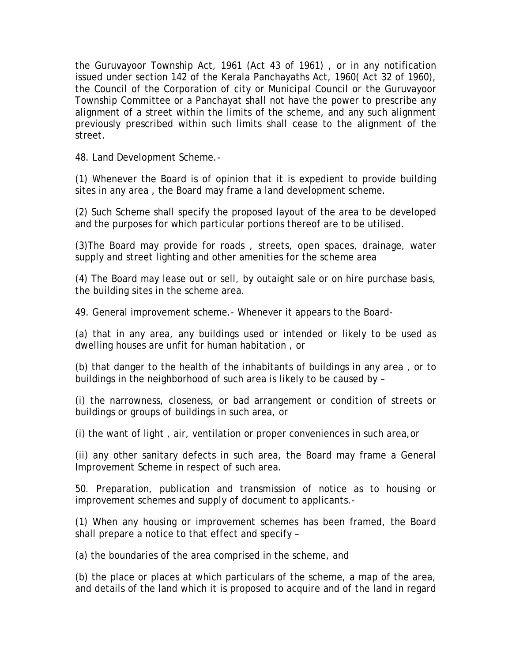the Guruvayoor Township Act, 1961 (Act 43 of 1961) , or in any notification issued under section 142 of the Kerala Panchayaths Act, 1960( Act 32 of 1960), the Council of the Corporation of city or Municipal Council or the Guruvayoor Township Committee or a Panchayat shall not have the power to prescribe any alignment of a street within the limits of the scheme, and any such alignment previously prescribed within such limits shall cease to the alignment of the street.

48. Land Development Scheme.-

(1) Whenever the Board is of opinion that it is expedient to provide building sites in any area , the Board may frame a land development scheme.

(2) Such Scheme shall specify the proposed layout of the area to be developed and the purposes for which particular portions thereof are to be utilised.

(3)The Board may provide for roads , streets, open spaces, drainage, water supply and street lighting and other amenities for the scheme area

(4) The Board may lease out or sell, by outaight sale or on hire purchase basis, the building sites in the scheme area.

49. General improvement scheme.- Whenever it appears to the Board-

(a) that in any area, any buildings used or intended or likely to be used as dwelling houses are unfit for human habitation , or

(b) that danger to the health of the inhabitants of buildings in any area , or to buildings in the neighborhood of such area is likely to be caused by –

(i) the narrowness, closeness, or bad arrangement or condition of streets or buildings or groups of buildings in such area, or

(i) the want of light , air, ventilation or proper conveniences in such area,or

(ii) any other sanitary defects in such area, the Board may frame a General Improvement Scheme in respect of such area.

50. Preparation, publication and transmission of notice as to housing or improvement schemes and supply of document to applicants.-

(1) When any housing or improvement schemes has been framed, the Board shall prepare a notice to that effect and specify –

(a) the boundaries of the area comprised in the scheme, and

(b) the place or places at which particulars of the scheme, a map of the area, and details of the land which it is proposed to acquire and of the land in regard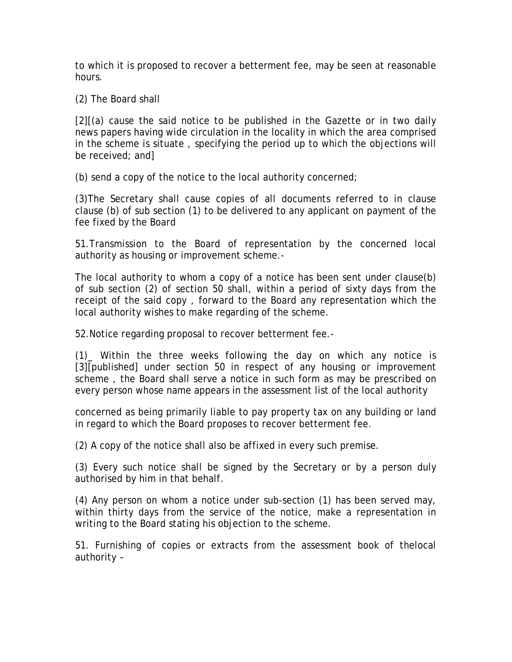to which it is proposed to recover a betterment fee, may be seen at reasonable hours.

(2) The Board shall

[2][(a) cause the said notice to be published in the Gazette or in two daily news papers having wide circulation in the locality in which the area comprised in the scheme is situate , specifying the period up to which the objections will be received; and]

(b) send a copy of the notice to the local authority concerned;

(3)The Secretary shall cause copies of all documents referred to in clause clause (b) of sub section (1) to be delivered to any applicant on payment of the fee fixed by the Board

51.Transmission to the Board of representation by the concerned local authority as housing or improvement scheme.-

The local authority to whom a copy of a notice has been sent under clause(b) of sub section (2) of section 50 shall, within a period of sixty days from the receipt of the said copy , forward to the Board any representation which the local authority wishes to make regarding of the scheme.

52.Notice regarding proposal to recover betterment fee.-

(1)\_ Within the three weeks following the day on which any notice is [3][published] under section 50 in respect of any housing or improvement scheme , the Board shall serve a notice in such form as may be prescribed on every person whose name appears in the assessment list of the local authority

concerned as being primarily liable to pay property tax on any building or land in regard to which the Board proposes to recover betterment fee.

(2) A copy of the notice shall also be affixed in every such premise.

(3) Every such notice shall be signed by the Secretary or by a person duly authorised by him in that behalf.

(4) Any person on whom a notice under sub-section (1) has been served may, within thirty days from the service of the notice, make a representation in writing to the Board stating his objection to the scheme.

51. Furnishing of copies or extracts from the assessment book of thelocal authority –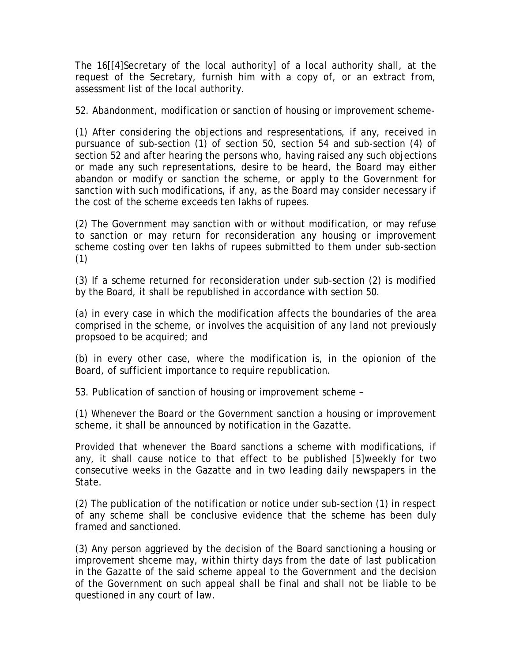The 16[[4]Secretary of the local authority] of a local authority shall, at the request of the Secretary, furnish him with a copy of, or an extract from, assessment list of the local authority.

52. Abandonment, modification or sanction of housing or improvement scheme-

(1) After considering the objections and respresentations, if any, received in pursuance of sub-section (1) of section 50, section 54 and sub-section (4) of section 52 and after hearing the persons who, having raised any such objections or made any such representations, desire to be heard, the Board may either abandon or modify or sanction the scheme, or apply to the Government for sanction with such modifications, if any, as the Board may consider necessary if the cost of the scheme exceeds ten lakhs of rupees.

(2) The Government may sanction with or without modification, or may refuse to sanction or may return for reconsideration any housing or improvement scheme costing over ten lakhs of rupees submitted to them under sub-section (1)

(3) If a scheme returned for reconsideration under sub-section (2) is modified by the Board, it shall be republished in accordance with section 50.

(a) in every case in which the modification affects the boundaries of the area comprised in the scheme, or involves the acquisition of any land not previously propsoed to be acquired; and

(b) in every other case, where the modification is, in the opionion of the Board, of sufficient importance to require republication.

53. Publication of sanction of housing or improvement scheme –

(1) Whenever the Board or the Government sanction a housing or improvement scheme, it shall be announced by notification in the Gazatte.

Provided that whenever the Board sanctions a scheme with modifications, if any, it shall cause notice to that effect to be published [5]weekly for two consecutive weeks in the Gazatte and in two leading daily newspapers in the State.

(2) The publication of the notification or notice under sub-section (1) in respect of any scheme shall be conclusive evidence that the scheme has been duly framed and sanctioned.

(3) Any person aggrieved by the decision of the Board sanctioning a housing or improvement shceme may, within thirty days from the date of last publication in the Gazatte of the said scheme appeal to the Government and the decision of the Government on such appeal shall be final and shall not be liable to be questioned in any court of law.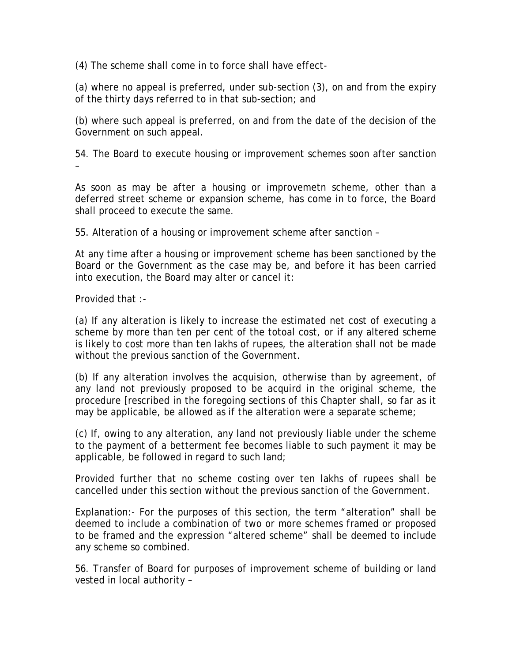(4) The scheme shall come in to force shall have effect-

(a) where no appeal is preferred, under sub-section (3), on and from the expiry of the thirty days referred to in that sub-section; and

(b) where such appeal is preferred, on and from the date of the decision of the Government on such appeal.

54. The Board to execute housing or improvement schemes soon after sanction –

As soon as may be after a housing or improvemetn scheme, other than a deferred street scheme or expansion scheme, has come in to force, the Board shall proceed to execute the same.

55. Alteration of a housing or improvement scheme after sanction –

At any time after a housing or improvement scheme has been sanctioned by the Board or the Government as the case may be, and before it has been carried into execution, the Board may alter or cancel it:

Provided that :-

(a) If any alteration is likely to increase the estimated net cost of executing a scheme by more than ten per cent of the totoal cost, or if any altered scheme is likely to cost more than ten lakhs of rupees, the alteration shall not be made without the previous sanction of the Government.

(b) If any alteration involves the acquision, otherwise than by agreement, of any land not previously proposed to be acquird in the original scheme, the procedure [rescribed in the foregoing sections of this Chapter shall, so far as it may be applicable, be allowed as if the alteration were a separate scheme;

(c) If, owing to any alteration, any land not previously liable under the scheme to the payment of a betterment fee becomes liable to such payment it may be applicable, be followed in regard to such land;

Provided further that no scheme costing over ten lakhs of rupees shall be cancelled under this section without the previous sanction of the Government.

Explanation:- For the purposes of this section, the term "alteration" shall be deemed to include a combination of two or more schemes framed or proposed to be framed and the expression "altered scheme" shall be deemed to include any scheme so combined.

56. Transfer of Board for purposes of improvement scheme of building or land vested in local authority –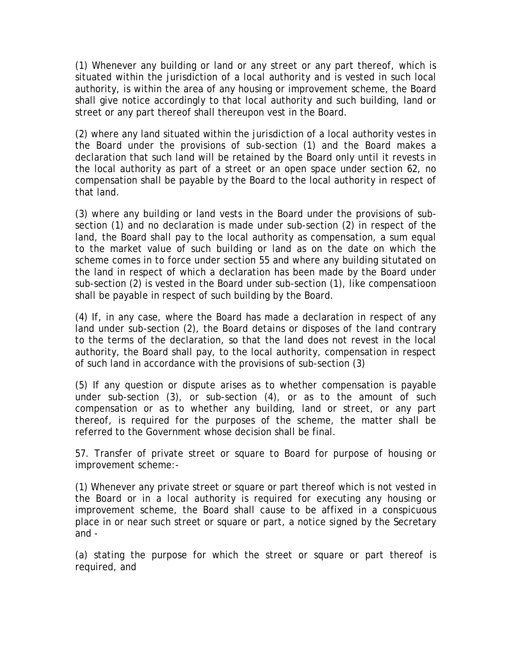(1) Whenever any building or land or any street or any part thereof, which is situated within the jurisdiction of a local authority and is vested in such local authority, is within the area of any housing or improvement scheme, the Board shall give notice accordingly to that local authority and such building, land or street or any part thereof shall thereupon vest in the Board.

(2) where any land situated within the jurisdiction of a local authority vestes in the Board under the provisions of sub-section (1) and the Board makes a declaration that such land will be retained by the Board only until it revests in the local authority as part of a street or an open space under section 62, no compensation shall be payable by the Board to the local authority in respect of that land.

(3) where any building or land vests in the Board under the provisions of subsection (1) and no declaration is made under sub-section (2) in respect of the land, the Board shall pay to the local authority as compensation, a sum equal to the market value of such building or land as on the date on which the scheme comes in to force under section 55 and where any building situtated on the land in respect of which a declaration has been made by the Board under sub-section (2) is vested in the Board under sub-section (1), like compensatioon shall be payable in respect of such building by the Board.

(4) If, in any case, where the Board has made a declaration in respect of any land under sub-section (2), the Board detains or disposes of the land contrary to the terms of the declaration, so that the land does not revest in the local authority, the Board shall pay, to the local authority, compensation in respect of such land in accordance with the provisions of sub-section (3)

(5) If any question or dispute arises as to whether compensation is payable under sub-section (3), or sub-section (4), or as to the amount of such compensation or as to whether any building, land or street, or any part thereof, is required for the purposes of the scheme, the matter shall be referred to the Government whose decision shall be final.

57. Transfer of private street or square to Board for purpose of housing or improvement scheme:-

(1) Whenever any private street or square or part thereof which is not vested in the Board or in a local authority is required for executing any housing or improvement scheme, the Board shall cause to be affixed in a conspicuous place in or near such street or square or part, a notice signed by the Secretary and -

(a) stating the purpose for which the street or square or part thereof is required, and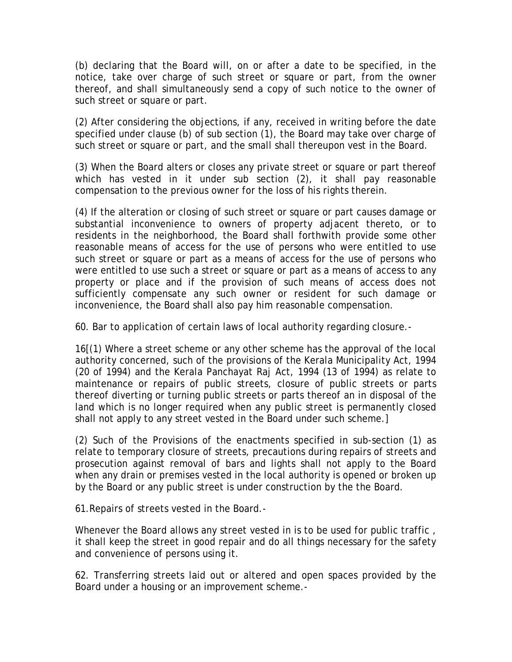(b) declaring that the Board will, on or after a date to be specified, in the notice, take over charge of such street or square or part, from the owner thereof, and shall simultaneously send a copy of such notice to the owner of such street or square or part.

(2) After considering the objections, if any, received in writing before the date specified under clause (b) of sub section (1), the Board may take over charge of such street or square or part, and the small shall thereupon vest in the Board.

(3) When the Board alters or closes any private street or square or part thereof which has vested in it under sub section (2), it shall pay reasonable compensation to the previous owner for the loss of his rights therein.

(4) If the alteration or closing of such street or square or part causes damage or substantial inconvenience to owners of property adjacent thereto, or to residents in the neighborhood, the Board shall forthwith provide some other reasonable means of access for the use of persons who were entitled to use such street or square or part as a means of access for the use of persons who were entitled to use such a street or square or part as a means of access to any property or place and if the provision of such means of access does not sufficiently compensate any such owner or resident for such damage or inconvenience, the Board shall also pay him reasonable compensation.

60. Bar to application of certain laws of local authority regarding closure.-

16[(1) Where a street scheme or any other scheme has the approval of the local authority concerned, such of the provisions of the Kerala Municipality Act, 1994 (20 of 1994) and the Kerala Panchayat Raj Act, 1994 (13 of 1994) as relate to maintenance or repairs of public streets, closure of public streets or parts thereof diverting or turning public streets or parts thereof an in disposal of the land which is no longer required when any public street is permanently closed shall not apply to any street vested in the Board under such scheme.]

(2) Such of the Provisions of the enactments specified in sub-section (1) as relate to temporary closure of streets, precautions during repairs of streets and prosecution against removal of bars and lights shall not apply to the Board when any drain or premises vested in the local authority is opened or broken up by the Board or any public street is under construction by the the Board.

61.Repairs of streets vested in the Board.-

Whenever the Board allows any street vested in is to be used for public traffic , it shall keep the street in good repair and do all things necessary for the safety and convenience of persons using it.

62. Transferring streets laid out or altered and open spaces provided by the Board under a housing or an improvement scheme.-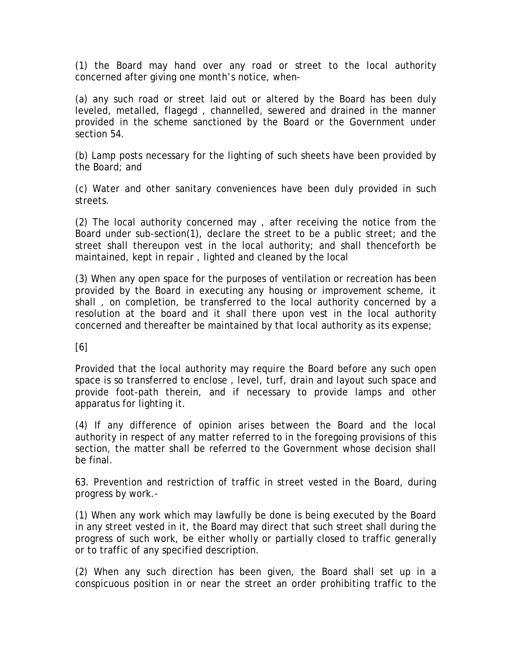(1) the Board may hand over any road or street to the local authority concerned after giving one month's notice, when-

(a) any such road or street laid out or altered by the Board has been duly leveled, metalled, flagegd , channelled, sewered and drained in the manner provided in the scheme sanctioned by the Board or the Government under section 54.

(b) Lamp posts necessary for the lighting of such sheets have been provided by the Board; and

(c) Water and other sanitary conveniences have been duly provided in such streets.

(2) The local authority concerned may , after receiving the notice from the Board under sub-section(1), declare the street to be a public street; and the street shall thereupon vest in the local authority; and shall thenceforth be maintained, kept in repair , lighted and cleaned by the local

(3) When any open space for the purposes of ventilation or recreation has been provided by the Board in executing any housing or improvement scheme, it shall , on completion, be transferred to the local authority concerned by a resolution at the board and it shall there upon vest in the local authority concerned and thereafter be maintained by that local authority as its expense;

[6]

Provided that the local authority may require the Board before any such open space is so transferred to enclose , level, turf, drain and layout such space and provide foot-path therein, and if necessary to provide lamps and other apparatus for lighting it.

(4) If any difference of opinion arises between the Board and the local authority in respect of any matter referred to in the foregoing provisions of this section, the matter shall be referred to the Government whose decision shall be final.

63. Prevention and restriction of traffic in street vested in the Board, during progress by work.-

(1) When any work which may lawfully be done is being executed by the Board in any street vested in it, the Board may direct that such street shall during the progress of such work, be either wholly or partially closed to traffic generally or to traffic of any specified description.

(2) When any such direction has been given, the Board shall set up in a conspicuous position in or near the street an order prohibiting traffic to the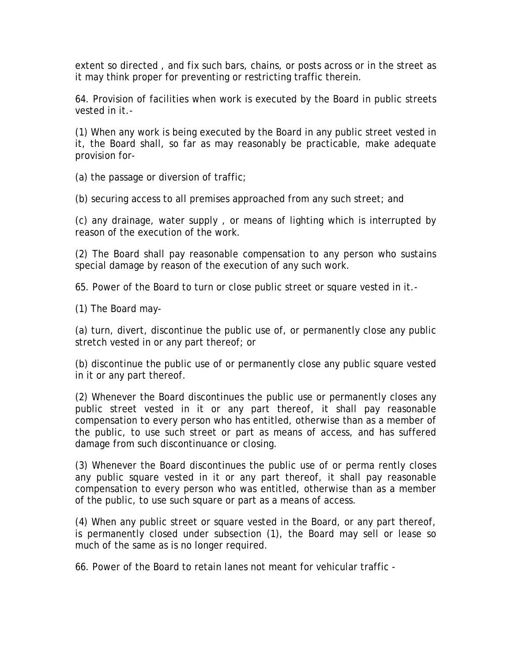extent so directed , and fix such bars, chains, or posts across or in the street as it may think proper for preventing or restricting traffic therein.

64. Provision of facilities when work is executed by the Board in public streets vested in it.-

(1) When any work is being executed by the Board in any public street vested in it, the Board shall, so far as may reasonably be practicable, make adequate provision for-

(a) the passage or diversion of traffic;

(b) securing access to all premises approached from any such street; and

(c) any drainage, water supply , or means of lighting which is interrupted by reason of the execution of the work.

(2) The Board shall pay reasonable compensation to any person who sustains special damage by reason of the execution of any such work.

65. Power of the Board to turn or close public street or square vested in it.-

(1) The Board may-

(a) turn, divert, discontinue the public use of, or permanently close any public stretch vested in or any part thereof; or

(b) discontinue the public use of or permanently close any public square vested in it or any part thereof.

(2) Whenever the Board discontinues the public use or permanently closes any public street vested in it or any part thereof, it shall pay reasonable compensation to every person who has entitled, otherwise than as a member of the public, to use such street or part as means of access, and has suffered damage from such discontinuance or closing.

(3) Whenever the Board discontinues the public use of or perma rently closes any public square vested in it or any part thereof, it shall pay reasonable compensation to every person who was entitled, otherwise than as a member of the public, to use such square or part as a means of access.

(4) When any public street or square vested in the Board, or any part thereof, is permanently closed under subsection (1), the Board may sell or lease so much of the same as is no longer required.

66. Power of the Board to retain lanes not meant for vehicular traffic -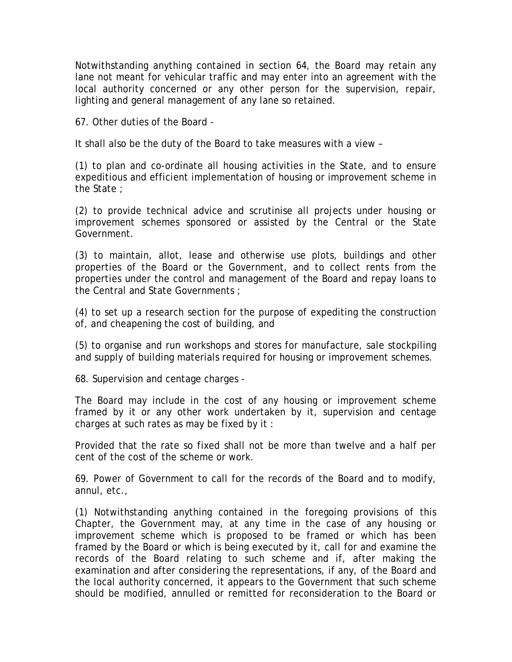Notwithstanding anything contained in section 64, the Board may retain any lane not meant for vehicular traffic and may enter into an agreement with the local authority concerned or any other person for the supervision, repair, lighting and general management of any lane so retained.

67. Other duties of the Board -

It shall also be the duty of the Board to take measures with a view –

(1) to plan and co-ordinate all housing activities in the State, and to ensure expeditious and efficient implementation of housing or improvement scheme in the State ;

(2) to provide technical advice and scrutinise all projects under housing or improvement schemes sponsored or assisted by the Central or the State Government.

(3) to maintain, allot, lease and otherwise use plots, buildings and other properties of the Board or the Government, and to collect rents from the properties under the control and management of the Board and repay loans to the Central and State Governments ;

(4) to set up a research section for the purpose of expediting the construction of, and cheapening the cost of building, and

(5) to organise and run workshops and stores for manufacture, sale stockpiling and supply of building materials required for housing or improvement schemes.

68. Supervision and centage charges -

The Board may include in the cost of any housing or improvement scheme framed by it or any other work undertaken by it, supervision and centage charges at such rates as may be fixed by it :

Provided that the rate so fixed shall not be more than twelve and a half per cent of the cost of the scheme or work.

69. Power of Government to call for the records of the Board and to modify, annul, etc.,

(1) Notwithstanding anything contained in the foregoing provisions of this Chapter, the Government may, at any time in the case of any housing or improvement scheme which is proposed to be framed or which has been framed by the Board or which is being executed by it, call for and examine the records of the Board relating to such scheme and if, after making the examination and after considering the representations, if any, of the Board and the local authority concerned, it appears to the Government that such scheme should be modified, annulled or remitted for reconsideration to the Board or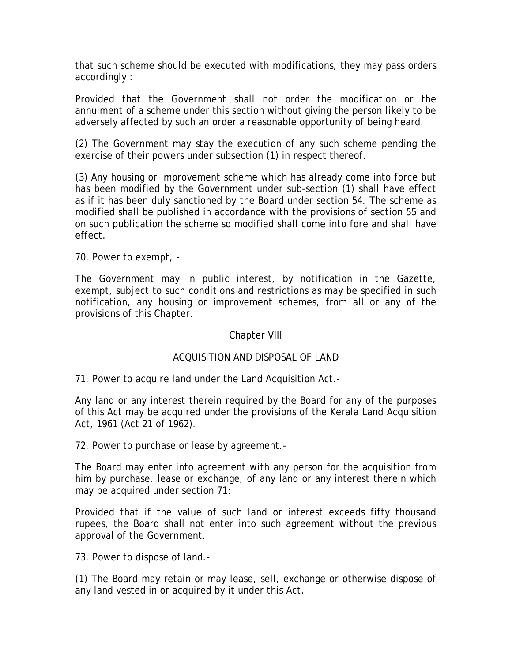that such scheme should be executed with modifications, they may pass orders accordingly :

Provided that the Government shall not order the modification or the annulment of a scheme under this section without giving the person likely to be adversely affected by such an order a reasonable opportunity of being heard.

(2) The Government may stay the execution of any such scheme pending the exercise of their powers under subsection (1) in respect thereof.

(3) Any housing or improvement scheme which has already come into force but has been modified by the Government under sub-section (1) shall have effect as if it has been duly sanctioned by the Board under section 54. The scheme as modified shall be published in accordance with the provisions of section 55 and on such publication the scheme so modified shall come into fore and shall have effect.

70. Power to exempt, -

The Government may in public interest, by notification in the Gazette, exempt, subject to such conditions and restrictions as may be specified in such notification, any housing or improvement schemes, from all or any of the provisions of this Chapter.

### Chapter VIII

# ACQUISITION AND DISPOSAL OF LAND

71. Power to acquire land under the Land Acquisition Act.-

Any land or any interest therein required by the Board for any of the purposes of this Act may be acquired under the provisions of the Kerala Land Acquisition Act, 1961 (Act 21 of 1962).

72. Power to purchase or lease by agreement.-

The Board may enter into agreement with any person for the acquisition from him by purchase, lease or exchange, of any land or any interest therein which may be acquired under section 71:

Provided that if the value of such land or interest exceeds fifty thousand rupees, the Board shall not enter into such agreement without the previous approval of the Government.

73. Power to dispose of land.-

(1) The Board may retain or may lease, sell, exchange or otherwise dispose of any land vested in or acquired by it under this Act.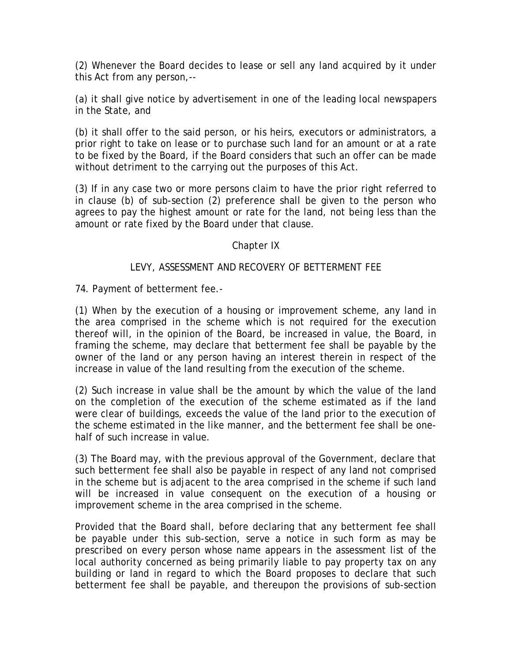(2) Whenever the Board decides to lease or sell any land acquired by it under this Act from any person,--

(a) it shall give notice by advertisement in one of the leading local newspapers in the State, and

(b) it shall offer to the said person, or his heirs, executors or administrators, a prior right to take on lease or to purchase such land for an amount or at a rate to be fixed by the Board, if the Board considers that such an offer can be made without detriment to the carrying out the purposes of this Act.

(3) If in any case two or more persons claim to have the prior right referred to in clause (b) of sub-section (2) preference shall be given to the person who agrees to pay the highest amount or rate for the land, not being less than the amount or rate fixed by the Board under that clause.

### Chapter IX

# LEVY, ASSESSMENT AND RECOVERY OF BETTERMENT FEE

74. Payment of betterment fee.-

(1) When by the execution of a housing or improvement scheme, any land in the area comprised in the scheme which is not required for the execution thereof will, in the opinion of the Board, be increased in value, the Board, in framing the scheme, may declare that betterment fee shall be payable by the owner of the land or any person having an interest therein in respect of the increase in value of the land resulting from the execution of the scheme.

(2) Such increase in value shall be the amount by which the value of the land on the completion of the execution of the scheme estimated as if the land were clear of buildings, exceeds the value of the land prior to the execution of the scheme estimated in the like manner, and the betterment fee shall be onehalf of such increase in value.

(3) The Board may, with the previous approval of the Government, declare that such betterment fee shall also be payable in respect of any land not comprised in the scheme but is adjacent to the area comprised in the scheme if such land will be increased in value consequent on the execution of a housing or improvement scheme in the area comprised in the scheme.

Provided that the Board shall, before declaring that any betterment fee shall be payable under this sub-section, serve a notice in such form as may be prescribed on every person whose name appears in the assessment list of the local authority concerned as being primarily liable to pay property tax on any building or land in regard to which the Board proposes to declare that such betterment fee shall be payable, and thereupon the provisions of sub-section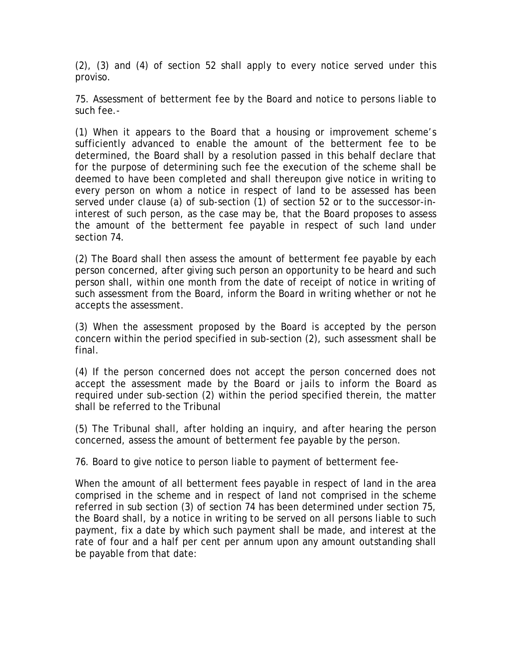(2), (3) and (4) of section 52 shall apply to every notice served under this proviso.

75. Assessment of betterment fee by the Board and notice to persons liable to such fee.-

(1) When it appears to the Board that a housing or improvement scheme's sufficiently advanced to enable the amount of the betterment fee to be determined, the Board shall by a resolution passed in this behalf declare that for the purpose of determining such fee the execution of the scheme shall be deemed to have been completed and shall thereupon give notice in writing to every person on whom a notice in respect of land to be assessed has been served under clause (a) of sub-section (1) of section 52 or to the successor-ininterest of such person, as the case may be, that the Board proposes to assess the amount of the betterment fee payable in respect of such land under section 74.

(2) The Board shall then assess the amount of betterment fee payable by each person concerned, after giving such person an opportunity to be heard and such person shall, within one month from the date of receipt of notice in writing of such assessment from the Board, inform the Board in writing whether or not he accepts the assessment.

(3) When the assessment proposed by the Board is accepted by the person concern within the period specified in sub-section (2), such assessment shall be final.

(4) If the person concerned does not accept the person concerned does not accept the assessment made by the Board or jails to inform the Board as required under sub-section (2) within the period specified therein, the matter shall be referred to the Tribunal

(5) The Tribunal shall, after holding an inquiry, and after hearing the person concerned, assess the amount of betterment fee payable by the person.

76. Board to give notice to person liable to payment of betterment fee-

When the amount of all betterment fees payable in respect of land in the area comprised in the scheme and in respect of land not comprised in the scheme referred in sub section (3) of section 74 has been determined under section 75, the Board shall, by a notice in writing to be served on all persons liable to such payment, fix a date by which such payment shall be made, and interest at the rate of four and a half per cent per annum upon any amount outstanding shall be payable from that date: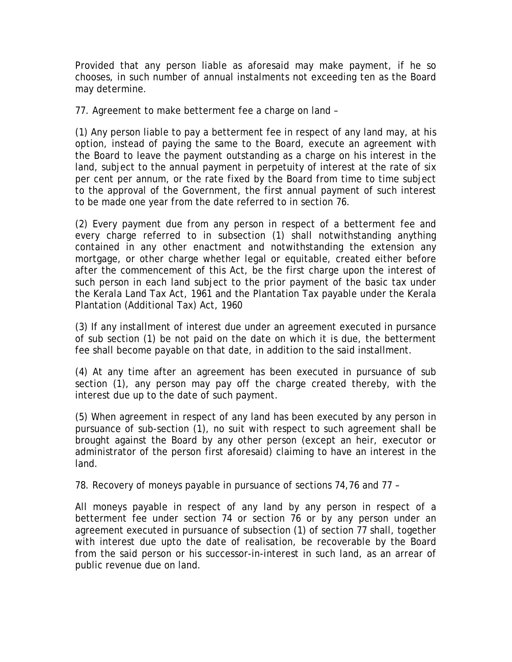Provided that any person liable as aforesaid may make payment, if he so chooses, in such number of annual instalments not exceeding ten as the Board may determine.

77. Agreement to make betterment fee a charge on land –

(1) Any person liable to pay a betterment fee in respect of any land may, at his option, instead of paying the same to the Board, execute an agreement with the Board to leave the payment outstanding as a charge on his interest in the land, subject to the annual payment in perpetuity of interest at the rate of six per cent per annum, or the rate fixed by the Board from time to time subject to the approval of the Government, the first annual payment of such interest to be made one year from the date referred to in section 76.

(2) Every payment due from any person in respect of a betterment fee and every charge referred to in subsection (1) shall notwithstanding anything contained in any other enactment and notwithstanding the extension any mortgage, or other charge whether legal or equitable, created either before after the commencement of this Act, be the first charge upon the interest of such person in each land subject to the prior payment of the basic tax under the Kerala Land Tax Act, 1961 and the Plantation Tax payable under the Kerala Plantation (Additional Tax) Act, 1960

(3) If any installment of interest due under an agreement executed in pursance of sub section (1) be not paid on the date on which it is due, the betterment fee shall become payable on that date, in addition to the said installment.

(4) At any time after an agreement has been executed in pursuance of sub section (1), any person may pay off the charge created thereby, with the interest due up to the date of such payment.

(5) When agreement in respect of any land has been executed by any person in pursuance of sub-section (1), no suit with respect to such agreement shall be brought against the Board by any other person (except an heir, executor or administrator of the person first aforesaid) claiming to have an interest in the land.

78. Recovery of moneys payable in pursuance of sections 74,76 and 77 –

All moneys payable in respect of any land by any person in respect of a betterment fee under section 74 or section 76 or by any person under an agreement executed in pursuance of subsection (1) of section 77 shall, together with interest due upto the date of realisation, be recoverable by the Board from the said person or his successor-in-interest in such land, as an arrear of public revenue due on land.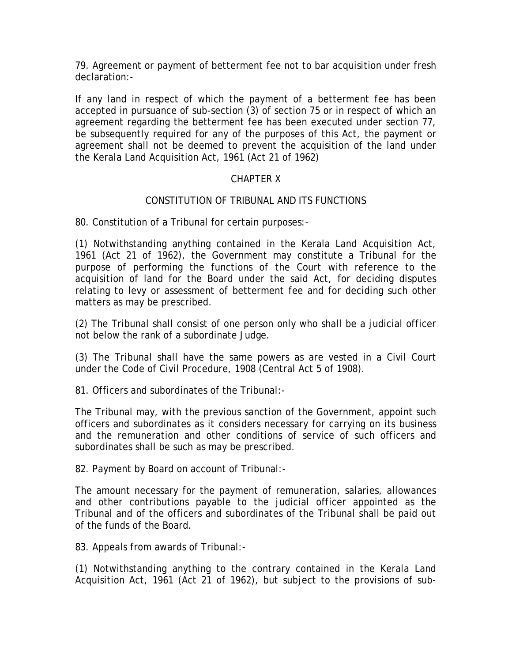79. Agreement or payment of betterment fee not to bar acquisition under fresh declaration:-

If any land in respect of which the payment of a betterment fee has been accepted in pursuance of sub-section (3) of section 75 or in respect of which an agreement regarding the betterment fee has been executed under section 77, be subsequently required for any of the purposes of this Act, the payment or agreement shall not be deemed to prevent the acquisition of the land under the Kerala Land Acquisition Act, 1961 (Act 21 of 1962)

# CHAPTER X

# CONSTITUTION OF TRIBUNAL AND ITS FUNCTIONS

80. Constitution of a Tribunal for certain purposes:-

(1) Notwithstanding anything contained in the Kerala Land Acquisition Act, 1961 (Act 21 of 1962), the Government may constitute a Tribunal for the purpose of performing the functions of the Court with reference to the acquisition of land for the Board under the said Act, for deciding disputes relating to levy or assessment of betterment fee and for deciding such other matters as may be prescribed.

(2) The Tribunal shall consist of one person only who shall be a judicial officer not below the rank of a subordinate Judge.

(3) The Tribunal shall have the same powers as are vested in a Civil Court under the Code of Civil Procedure, 1908 (Central Act 5 of 1908).

81. Officers and subordinates of the Tribunal:-

The Tribunal may, with the previous sanction of the Government, appoint such officers and subordinates as it considers necessary for carrying on its business and the remuneration and other conditions of service of such officers and subordinates shall be such as may be prescribed.

82. Payment by Board on account of Tribunal:-

The amount necessary for the payment of remuneration, salaries, allowances and other contributions payable to the judicial officer appointed as the Tribunal and of the officers and subordinates of the Tribunal shall be paid out of the funds of the Board.

83. Appeals from awards of Tribunal:-

(1) Notwithstanding anything to the contrary contained in the Kerala Land Acquisition Act, 1961 (Act 21 of 1962), but subject to the provisions of sub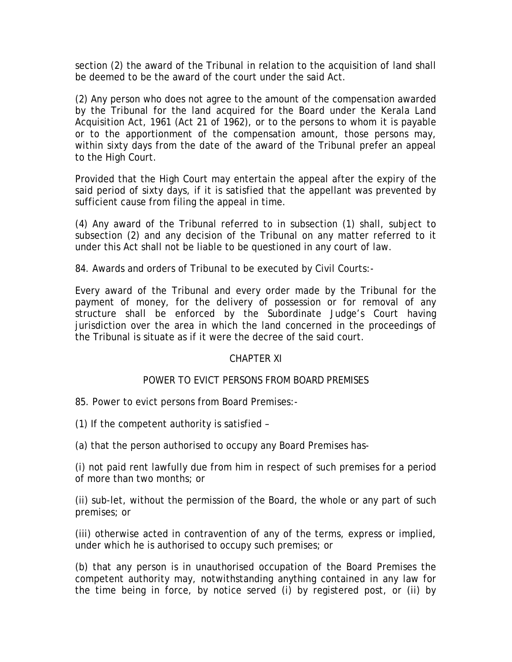section (2) the award of the Tribunal in relation to the acquisition of land shall be deemed to be the award of the court under the said Act.

(2) Any person who does not agree to the amount of the compensation awarded by the Tribunal for the land acquired for the Board under the Kerala Land Acquisition Act, 1961 (Act 21 of 1962), or to the persons to whom it is payable or to the apportionment of the compensation amount, those persons may, within sixty days from the date of the award of the Tribunal prefer an appeal to the High Court.

Provided that the High Court may entertain the appeal after the expiry of the said period of sixty days, if it is satisfied that the appellant was prevented by sufficient cause from filing the appeal in time.

(4) Any award of the Tribunal referred to in subsection (1) shall, subject to subsection (2) and any decision of the Tribunal on any matter referred to it under this Act shall not be liable to be questioned in any court of law.

84. Awards and orders of Tribunal to be executed by Civil Courts:-

Every award of the Tribunal and every order made by the Tribunal for the payment of money, for the delivery of possession or for removal of any structure shall be enforced by the Subordinate Judge's Court having jurisdiction over the area in which the land concerned in the proceedings of the Tribunal is situate as if it were the decree of the said court.

### CHAPTER XI

# POWER TO EVICT PERSONS FROM BOARD PREMISES

85. Power to evict persons from Board Premises:-

(1) If the competent authority is satisfied –

(a) that the person authorised to occupy any Board Premises has-

(i) not paid rent lawfully due from him in respect of such premises for a period of more than two months; or

(ii) sub-let, without the permission of the Board, the whole or any part of such premises; or

(iii) otherwise acted in contravention of any of the terms, express or implied, under which he is authorised to occupy such premises; or

(b) that any person is in unauthorised occupation of the Board Premises the competent authority may, notwithstanding anything contained in any law for the time being in force, by notice served (i) by registered post, or (ii) by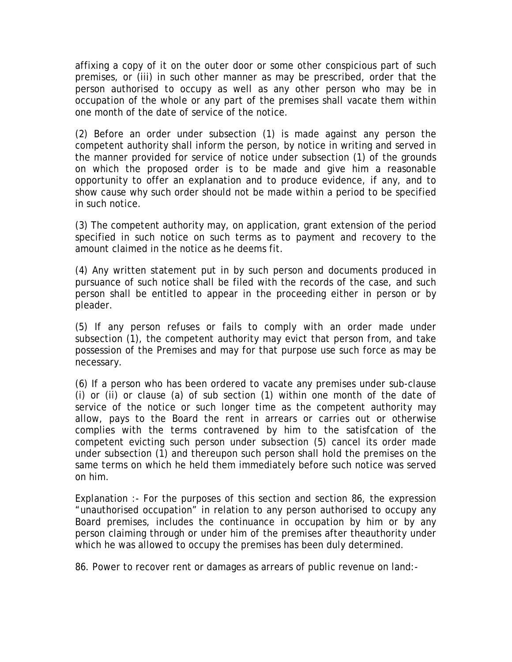affixing a copy of it on the outer door or some other conspicious part of such premises, or (iii) in such other manner as may be prescribed, order that the person authorised to occupy as well as any other person who may be in occupation of the whole or any part of the premises shall vacate them within one month of the date of service of the notice.

(2) Before an order under subsection (1) is made against any person the competent authority shall inform the person, by notice in writing and served in the manner provided for service of notice under subsection (1) of the grounds on which the proposed order is to be made and give him a reasonable opportunity to offer an explanation and to produce evidence, if any, and to show cause why such order should not be made within a period to be specified in such notice.

(3) The competent authority may, on application, grant extension of the period specified in such notice on such terms as to payment and recovery to the amount claimed in the notice as he deems fit.

(4) Any written statement put in by such person and documents produced in pursuance of such notice shall be filed with the records of the case, and such person shall be entitled to appear in the proceeding either in person or by pleader.

(5) If any person refuses or fails to comply with an order made under subsection (1), the competent authority may evict that person from, and take possession of the Premises and may for that purpose use such force as may be necessary.

(6) If a person who has been ordered to vacate any premises under sub-clause (i) or (ii) or clause (a) of sub section (1) within one month of the date of service of the notice or such longer time as the competent authority may allow, pays to the Board the rent in arrears or carries out or otherwise complies with the terms contravened by him to the satisfcation of the competent evicting such person under subsection (5) cancel its order made under subsection (1) and thereupon such person shall hold the premises on the same terms on which he held them immediately before such notice was served on him.

Explanation :- For the purposes of this section and section 86, the expression "unauthorised occupation" in relation to any person authorised to occupy any Board premises, includes the continuance in occupation by him or by any person claiming through or under him of the premises after theauthority under which he was allowed to occupy the premises has been duly determined.

86. Power to recover rent or damages as arrears of public revenue on land:-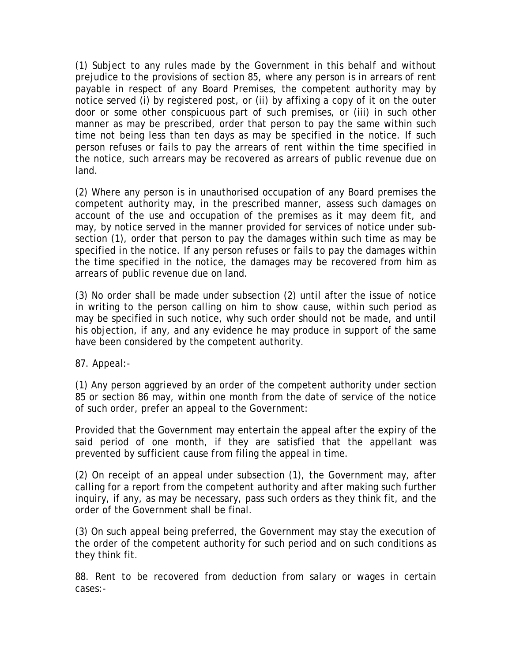(1) Subject to any rules made by the Government in this behalf and without prejudice to the provisions of section 85, where any person is in arrears of rent payable in respect of any Board Premises, the competent authority may by notice served (i) by registered post, or (ii) by affixing a copy of it on the outer door or some other conspicuous part of such premises, or (iii) in such other manner as may be prescribed, order that person to pay the same within such time not being less than ten days as may be specified in the notice. If such person refuses or fails to pay the arrears of rent within the time specified in the notice, such arrears may be recovered as arrears of public revenue due on land.

(2) Where any person is in unauthorised occupation of any Board premises the competent authority may, in the prescribed manner, assess such damages on account of the use and occupation of the premises as it may deem fit, and may, by notice served in the manner provided for services of notice under subsection (1), order that person to pay the damages within such time as may be specified in the notice. If any person refuses or fails to pay the damages within the time specified in the notice, the damages may be recovered from him as arrears of public revenue due on land.

(3) No order shall be made under subsection (2) until after the issue of notice in writing to the person calling on him to show cause, within such period as may be specified in such notice, why such order should not be made, and until his objection, if any, and any evidence he may produce in support of the same have been considered by the competent authority.

87. Appeal:-

(1) Any person aggrieved by an order of the competent authority under section 85 or section 86 may, within one month from the date of service of the notice of such order, prefer an appeal to the Government:

Provided that the Government may entertain the appeal after the expiry of the said period of one month, if they are satisfied that the appellant was prevented by sufficient cause from filing the appeal in time.

(2) On receipt of an appeal under subsection (1), the Government may, after calling for a report from the competent authority and after making such further inquiry, if any, as may be necessary, pass such orders as they think fit, and the order of the Government shall be final.

(3) On such appeal being preferred, the Government may stay the execution of the order of the competent authority for such period and on such conditions as they think fit.

88. Rent to be recovered from deduction from salary or wages in certain cases:-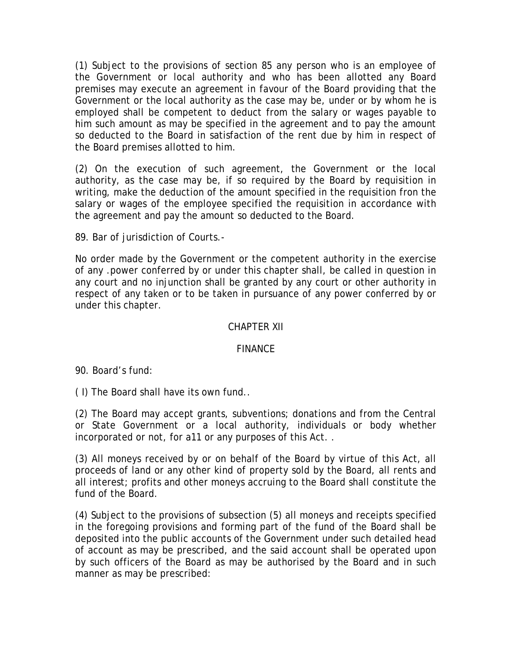(1) Subject to the provisions of section 85 any person who is an employee of the Government or local authority and who has been allotted any Board premises may execute an agreement in favour of the Board providing that the Government or the local authority as the case may be, under or by whom he is employed shall be competent to deduct from the salary or wages payable to him such amount as may be specified in the agreement and to pay the amount so deducted to the Board in satisfaction of the rent due by him in respect of the Board premises allotted to him.

(2) On the execution of such agreement, the Government or the local authority, as the case may be, if so required by the Board by requisition in writing, make the deduction of the amount specified in the requisition fron the salary or wages of the employee specified the requisition in accordance with the agreement and pay the amount so deducted to the Board.

89. Bar of jurisdiction of Courts.-

No order made by the Government or the competent authority in the exercise of any .power conferred by or under this chapter shall, be called in question in any court and no injunction shall be granted by any court or other authority in respect of any taken or to be taken in pursuance of any power conferred by or under this chapter.

#### CHAPTER XII

### FINANCE

90. Board's fund:

( I) The Board shall have its own fund..

(2) The Board may accept grants, subventions; donations and from the Central or State Government or a local authority, individuals or body whether incorporated or not, for a11 or any purposes of this Act. .

(3) All moneys received by or on behalf of the Board by virtue of this Act, all proceeds of land or any other kind of property sold by the Board, all rents and all interest; profits and other moneys accruing to the Board shall constitute the fund of the Board.

(4) Subject to the provisions of subsection (5) all moneys and receipts specified in the foregoing provisions and forming part of the fund of the Board shall be deposited into the public accounts of the Government under such detailed head of account as may be prescribed, and the said account shall be operated upon by such officers of the Board as may be authorised by the Board and in such manner as may be prescribed: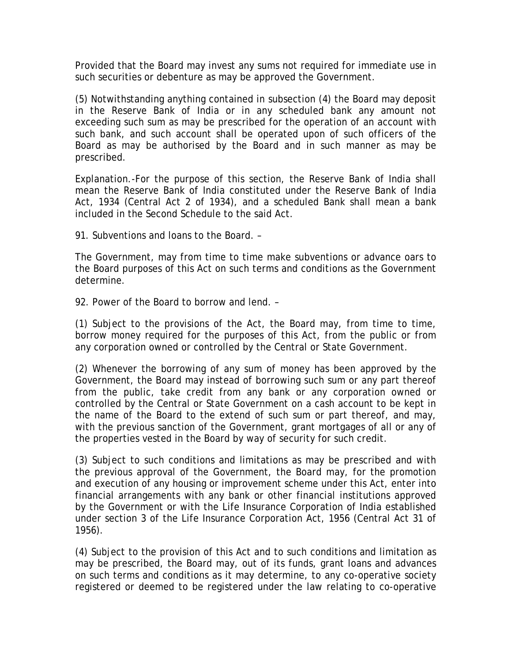Provided that the Board may invest any sums not required for immediate use in such securities or debenture as may be approved the Government.

(5) Notwithstanding anything contained in subsection (4) the Board may deposit in the Reserve Bank of India or in any scheduled bank any amount not exceeding such sum as may be prescribed for the operation of an account with such bank, and such account shall be operated upon of such officers of the Board as may be authorised by the Board and in such manner as may be prescribed.

Explanation.-For the purpose of this section, the Reserve Bank of India shall mean the Reserve Bank of India constituted under the Reserve Bank of India Act, 1934 (Central Act 2 of 1934), and a scheduled Bank shall mean a bank included in the Second Schedule to the said Act.

91. Subventions and loans to the Board. –

The Government, may from time to time make subventions or advance oars to the Board purposes of this Act on such terms and conditions as the Government determine.

92. Power of the Board to borrow and lend. –

(1) Subject to the provisions of the Act, the Board may, from time to time, borrow money required for the purposes of this Act, from the public or from any corporation owned or controlled by the Central or State Government.

(2) Whenever the borrowing of any sum of money has been approved by the Government, the Board may instead of borrowing such sum or any part thereof from the public, take credit from any bank or any corporation owned or controlled by the Central or State Government on a cash account to be kept in the name of the Board to the extend of such sum or part thereof, and may, with the previous sanction of the Government, grant mortgages of all or any of the properties vested in the Board by way of security for such credit.

(3) Subject to such conditions and limitations as may be prescribed and with the previous approval of the Government, the Board may, for the promotion and execution of any housing or improvement scheme under this Act, enter into financial arrangements with any bank or other financial institutions approved by the Government or with the Life Insurance Corporation of India established under section 3 of the Life Insurance Corporation Act, 1956 (Central Act 31 of 1956).

(4) Subject to the provision of this Act and to such conditions and limitation as may be prescribed, the Board may, out of its funds, grant loans and advances on such terms and conditions as it may determine, to any co-operative society registered or deemed to be registered under the law relating to co-operative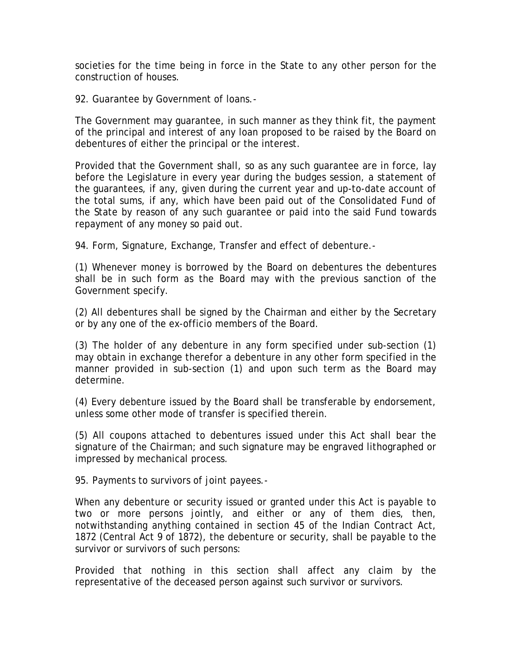societies for the time being in force in the State to any other person for the construction of houses.

92. Guarantee by Government of loans.-

The Government may guarantee, in such manner as they think fit, the payment of the principal and interest of any loan proposed to be raised by the Board on debentures of either the principal or the interest.

Provided that the Government shall, so as any such guarantee are in force, lay before the Legislature in every year during the budges session, a statement of the guarantees, if any, given during the current year and up-to-date account of the total sums, if any, which have been paid out of the Consolidated Fund of the State by reason of any such guarantee or paid into the said Fund towards repayment of any money so paid out.

94. Form, Signature, Exchange, Transfer and effect of debenture.-

(1) Whenever money is borrowed by the Board on debentures the debentures shall be in such form as the Board may with the previous sanction of the Government specify.

(2) All debentures shall be signed by the Chairman and either by the Secretary or by any one of the ex-officio members of the Board.

(3) The holder of any debenture in any form specified under sub-section (1) may obtain in exchange therefor a debenture in any other form specified in the manner provided in sub-section (1) and upon such term as the Board may determine.

(4) Every debenture issued by the Board shall be transferable by endorsement, unless some other mode of transfer is specified therein.

(5) All coupons attached to debentures issued under this Act shall bear the signature of the Chairman; and such signature may be engraved lithographed or impressed by mechanical process.

95. Payments to survivors of joint payees.-

When any debenture or security issued or granted under this Act is payable to two or more persons jointly, and either or any of them dies, then, notwithstanding anything contained in section 45 of the Indian Contract Act, 1872 (Central Act 9 of 1872), the debenture or security, shall be payable to the survivor or survivors of such persons:

Provided that nothing in this section shall affect any claim by the representative of the deceased person against such survivor or survivors.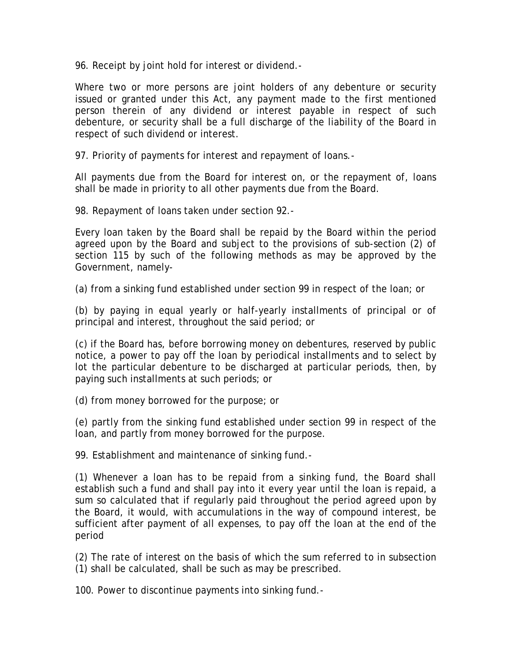96. Receipt by joint hold for interest or dividend.-

Where two or more persons are joint holders of any debenture or security issued or granted under this Act, any payment made to the first mentioned person therein of any dividend or interest payable in respect of such debenture, or security shall be a full discharge of the liability of the Board in respect of such dividend or interest.

97. Priority of payments for interest and repayment of loans.-

All payments due from the Board for interest on, or the repayment of, loans shall be made in priority to all other payments due from the Board.

98. Repayment of loans taken under section 92.-

Every loan taken by the Board shall be repaid by the Board within the period agreed upon by the Board and subject to the provisions of sub-section (2) of section 115 by such of the following methods as may be approved by the Government, namely-

(a) from a sinking fund established under section 99 in respect of the loan; or

(b) by paying in equal yearly or half-yearly installments of principal or of principal and interest, throughout the said period; or

(c) if the Board has, before borrowing money on debentures, reserved by public notice, a power to pay off the loan by periodical installments and to select by lot the particular debenture to be discharged at particular periods, then, by paying such installments at such periods; or

(d) from money borrowed for the purpose; or

(e) partly from the sinking fund established under section 99 in respect of the loan, and partly from money borrowed for the purpose.

99. Establishment and maintenance of sinking fund.-

(1) Whenever a loan has to be repaid from a sinking fund, the Board shall establish such a fund and shall pay into it every year until the loan is repaid, a sum so calculated that if regularly paid throughout the period agreed upon by the Board, it would, with accumulations in the way of compound interest, be sufficient after payment of all expenses, to pay off the loan at the end of the period

(2) The rate of interest on the basis of which the sum referred to in subsection (1) shall be calculated, shall be such as may be prescribed.

100. Power to discontinue payments into sinking fund.-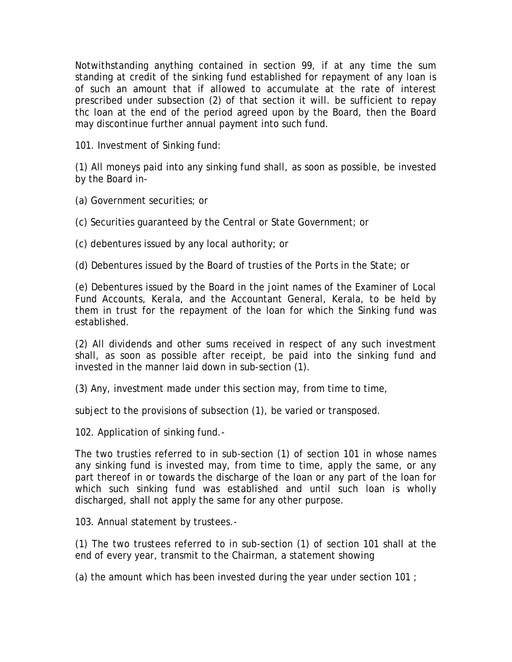Notwithstanding anything contained in section 99, if at any time the sum standing at credit of the sinking fund established for repayment of any loan is of such an amount that if allowed to accumulate at the rate of interest prescribed under subsection (2) of that section it will. be sufficient to repay thc loan at the end of the period agreed upon by the Board, then the Board may discontinue further annual payment into such fund.

101. Investment of Sinking fund:

(1) All moneys paid into any sinking fund shall, as soon as possible, be invested by the Board in-

(a) Government securities; or

(c) Securities guaranteed by the Central or State Government; or

(c) debentures issued by any local authority; or

(d) Debentures issued by the Board of trusties of the Ports in the State; or

(e) Debentures issued by the Board in the joint names of the Examiner of Local Fund Accounts, Kerala, and the Accountant General, Kerala, to be held by them in trust for the repayment of the loan for which the Sinking fund was established.

(2) All dividends and other sums received in respect of any such investment shall, as soon as possible after receipt, be paid into the sinking fund and invested in the manner laid down in sub-section (1).

(3) Any, investment made under this section may, from time to time,

subject to the provisions of subsection (1), be varied or transposed.

102. Application of sinking fund.-

The two trusties referred to in sub-section (1) of section 101 in whose names any sinking fund is invested may, from time to time, apply the same, or any part thereof in or towards the discharge of the loan or any part of the loan for which such sinking fund was established and until such loan is wholly discharged, shall not apply the same for any other purpose.

103. Annual statement by trustees.-

(1) The two trustees referred to in sub-section (1) of section 101 shall at the end of every year, transmit to the Chairman, a statement showing

(a) the amount which has been invested during the year under section 101 ;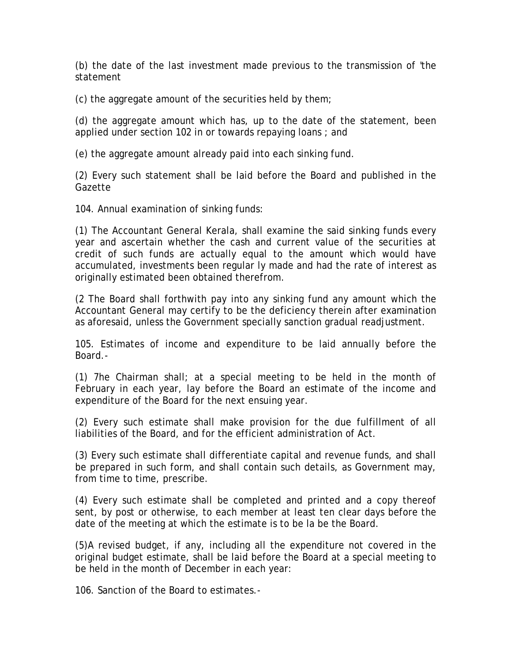(b) the date of the last investment made previous to the transmission of 'the statement

(c) the aggregate amount of the securities held by them;

(d) the aggregate amount which has, up to the date of the statement, been applied under section 102 in or towards repaying loans ; and

(e) the aggregate amount already paid into each sinking fund.

(2) Every such statement shall be laid before the Board and published in the Gazette

104. Annual examination of sinking funds:

(1) The Accountant General Kerala, shall examine the said sinking funds every year and ascertain whether the cash and current value of the securities at credit of such funds are actually equal to the amount which would have accumulated, investments been regular ly made and had the rate of interest as originally estimated been obtained therefrom.

(2 The Board shall forthwith pay into any sinking fund any amount which the Accountant General may certify to be the deficiency therein after examination as aforesaid, unless the Government specially sanction gradual readjustment.

105. Estimates of income and expenditure to be laid annually before the Board.-

(1) 7he Chairman shall; at a special meeting to be held in the month of February in each year, lay before the Board an estimate of the income and expenditure of the Board for the next ensuing year.

(2) Every such estimate shall make provision for the due fulfillment of all liabilities of the Board, and for the efficient administration of Act.

(3) Every such estimate shall differentiate capital and revenue funds, and shall be prepared in such form, and shall contain such details, as Government may, from time to time, prescribe.

(4) Every such estimate shall be completed and printed and a copy thereof sent, by post or otherwise, to each member at least ten clear days before the date of the meeting at which the estimate is to be la be the Board.

(5)A revised budget, if any, including all the expenditure not covered in the original budget estimate, shall be laid before the Board at a special meeting to be held in the month of December in each year:

106. Sanction of the Board to estimates.-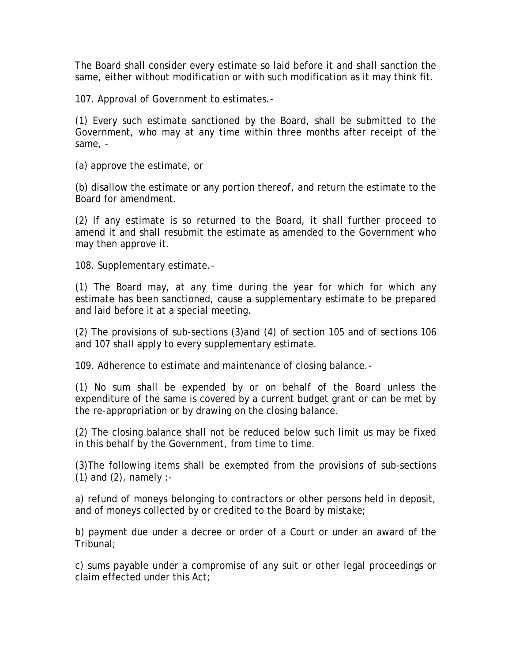The Board shall consider every estimate so laid before it and shall sanction the same, either without modification or with such modification as it may think fit.

107. Approval of Government to estimates.-

(1) Every such estimate sanctioned by the Board, shall be submitted to the Government, who may at any time within three months after receipt of the same, -

(a) approve the estimate, or

(b) disallow the estimate or any portion thereof, and return the estimate to the Board for amendment.

(2) If any estimate is so returned to the Board, it shall further proceed to amend it and shall resubmit the estimate as amended to the Government who may then approve it.

108. Supplementary estimate.-

(1) The Board may, at any time during the year for which for which any estimate has been sanctioned, cause a supplementary estimate to be prepared and laid before it at a special meeting.

(2) The provisions of sub-sections (3)and (4) of section 105 and of sections 106 and 107 shall apply to every supplementary estimate.

109. Adherence to estimate and maintenance of closing balance.-

(1) No sum shall be expended by or on behalf of the Board unless the expenditure of the same is covered by a current budget grant or can be met by the re-appropriation or by drawing on the closing balance.

(2) The closing balance shall not be reduced below such limit us may be fixed in this behalf by the Government, from time to time.

(3)The following items shall be exempted from the provisions of sub-sections  $(1)$  and  $(2)$ , namely :-

a) refund of moneys belonging to contractors or other persons held in deposit, and of moneys collected by or credited to the Board by mistake;

b) payment due under a decree or order of a Court or under an award of the Tribunal;

c) sums payable under a compromise of any suit or other legal proceedings or claim effected under this Act;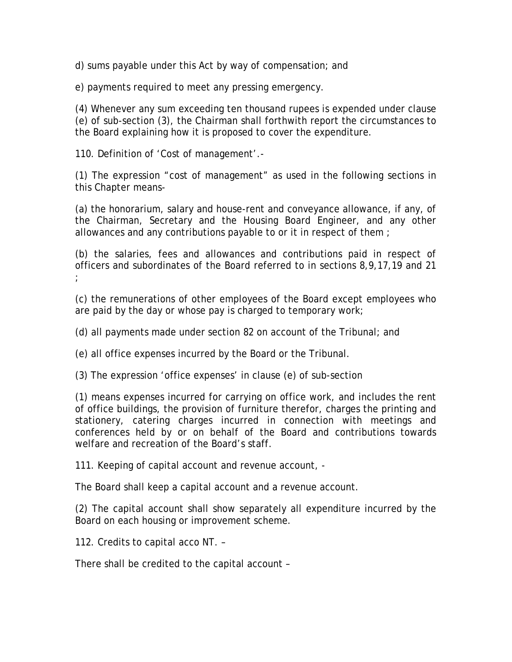d) sums payable under this Act by way of compensation; and

e) payments required to meet any pressing emergency.

(4) Whenever any sum exceeding ten thousand rupees is expended under clause (e) of sub-section (3), the Chairman shall forthwith report the circumstances to the Board explaining how it is proposed to cover the expenditure.

110. Definition of 'Cost of management'.-

(1) The expression "cost of management" as used in the following sections in this Chapter means-

(a) the honorarium, salary and house-rent and conveyance allowance, if any, of the Chairman, Secretary and the Housing Board Engineer, and any other allowances and any contributions payable to or it in respect of them ;

(b) the salaries, fees and allowances and contributions paid in respect of officers and subordinates of the Board referred to in sections 8,9,17,19 and 21 ;

(c) the remunerations of other employees of the Board except employees who are paid by the day or whose pay is charged to temporary work;

(d) all payments made under section 82 on account of the Tribunal; and

(e) all office expenses incurred by the Board or the Tribunal.

(3) The expression 'office expenses' in clause (e) of sub-section

(1) means expenses incurred for carrying on office work, and includes the rent of office buildings, the provision of furniture therefor, charges the printing and stationery, catering charges incurred in connection with meetings and conferences held by or on behalf of the Board and contributions towards welfare and recreation of the Board's staff.

111. Keeping of capital account and revenue account, -

The Board shall keep a capital account and a revenue account.

(2) The capital account shall show separately all expenditure incurred by the Board on each housing or improvement scheme.

112. Credits to capital acco NT. –

There shall be credited to the capital account –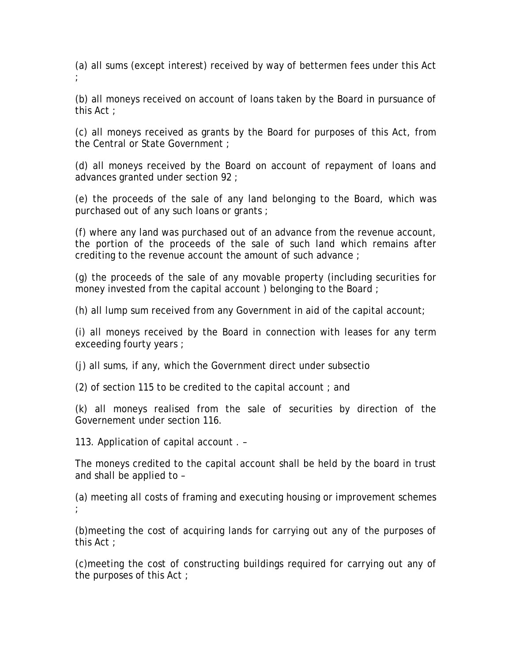(a) all sums (except interest) received by way of bettermen fees under this Act ;

(b) all moneys received on account of loans taken by the Board in pursuance of this Act ;

(c) all moneys received as grants by the Board for purposes of this Act, from the Central or State Government ;

(d) all moneys received by the Board on account of repayment of loans and advances granted under section 92 ;

(e) the proceeds of the sale of any land belonging to the Board, which was purchased out of any such loans or grants ;

(f) where any land was purchased out of an advance from the revenue account, the portion of the proceeds of the sale of such land which remains after crediting to the revenue account the amount of such advance ;

(g) the proceeds of the sale of any movable property (including securities for money invested from the capital account ) belonging to the Board ;

(h) all lump sum received from any Government in aid of the capital account;

(i) all moneys received by the Board in connection with leases for any term exceeding fourty years ;

(j) all sums, if any, which the Government direct under subsectio

(2) of section 115 to be credited to the capital account ; and

(k) all moneys realised from the sale of securities by direction of the Governement under section 116.

113. Application of capital account . –

The moneys credited to the capital account shall be held by the board in trust and shall be applied to –

(a) meeting all costs of framing and executing housing or improvement schemes ;

(b)meeting the cost of acquiring lands for carrying out any of the purposes of this Act ;

(c)meeting the cost of constructing buildings required for carrying out any of the purposes of this Act ;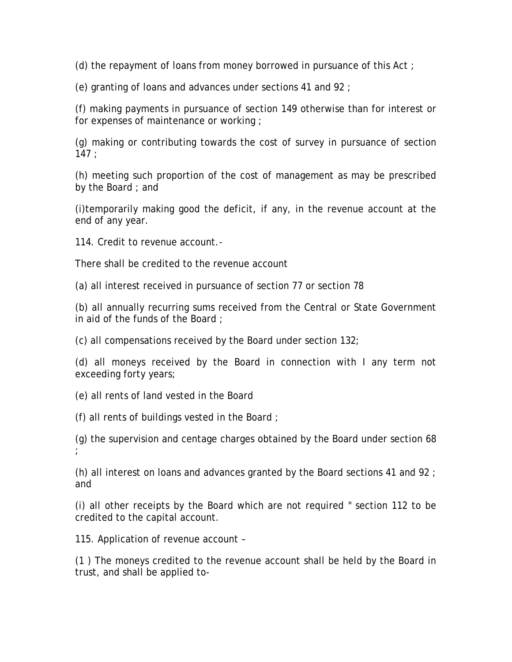(d) the repayment of loans from money borrowed in pursuance of this Act ;

(e) granting of loans and advances under sections 41 and 92 ;

(f) making payments in pursuance of section 149 otherwise than for interest or for expenses of maintenance or working ;

(g) making or contributing towards the cost of survey in pursuance of section  $147:$ 

(h) meeting such proportion of the cost of management as may be prescribed by the Board ; and

(i)temporarily making good the deficit, if any, in the revenue account at the end of any year.

114. Credit to revenue account.-

There shall be credited to the revenue account

(a) all interest received in pursuance of section 77 or section 78

(b) all annually recurring sums received from the Central or State Government in aid of the funds of the Board ;

(c) all compensations received by the Board under section 132;

(d) all moneys received by the Board in connection with I any term not exceeding forty years;

(e) all rents of land vested in the Board

(f) all rents of buildings vested in the Board ;

(g) the supervision and centage charges obtained by the Board under section 68 ;

(h) all interest on loans and advances granted by the Board sections 41 and 92 ; and

(i) all other receipts by the Board which are not required " section 112 to be credited to the capital account.

115. Application of revenue account –

(1 ) The moneys credited to the revenue account shall be held by the Board in trust, and shall be applied to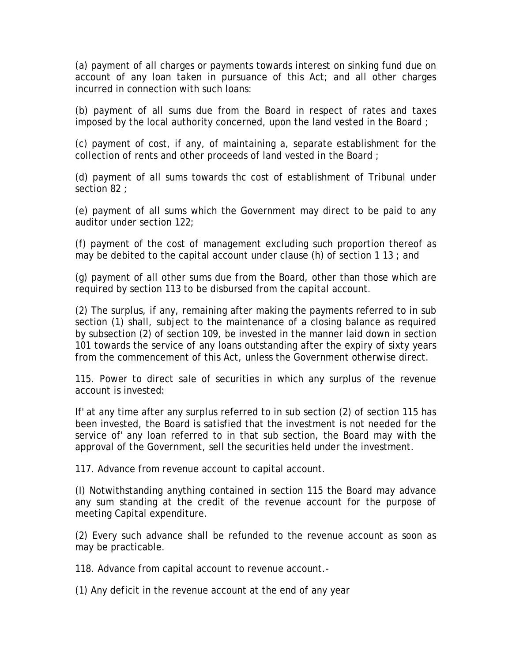(a) payment of all charges or payments towards interest on sinking fund due on account of any loan taken in pursuance of this Act; and all other charges incurred in connection with such loans:

(b) payment of all sums due from the Board in respect of rates and taxes imposed by the local authority concerned, upon the land vested in the Board ;

(c) payment of cost, if any, of maintaining a, separate establishment for the collection of rents and other proceeds of land vested in the Board ;

(d) payment of all sums towards thc cost of establishment of Tribunal under section 82 ;

(e) payment of all sums which the Government may direct to be paid to any auditor under section 122;

(f) payment of the cost of management excluding such proportion thereof as may be debited to the capital account under clause (h) of section 1 13 ; and

(g) payment of all other sums due from the Board, other than those which are required by section 113 to be disbursed from the capital account.

(2) The surplus, if any, remaining after making the payments referred to in sub section (1) shall, subject to the maintenance of a closing balance as required by subsection (2) of section 109, be invested in the manner laid down in section 101 towards the service of any loans outstanding after the expiry of sixty years from the commencement of this Act, unless the Government otherwise direct.

115. Power to direct sale of securities in which any surplus of the revenue account is invested:

If' at any time after any surplus referred to in sub section (2) of section 115 has been invested, the Board is satisfied that the investment is not needed for the service of' any loan referred to in that sub section, the Board may with the approval of the Government, sell the securities held under the investment.

117. Advance from revenue account to capital account.

(I) Notwithstanding anything contained in section 115 the Board may advance any sum standing at the credit of the revenue account for the purpose of meeting Capital expenditure.

(2) Every such advance shall be refunded to the revenue account as soon as may be practicable.

118. Advance from capital account to revenue account.-

(1) Any deficit in the revenue account at the end of any year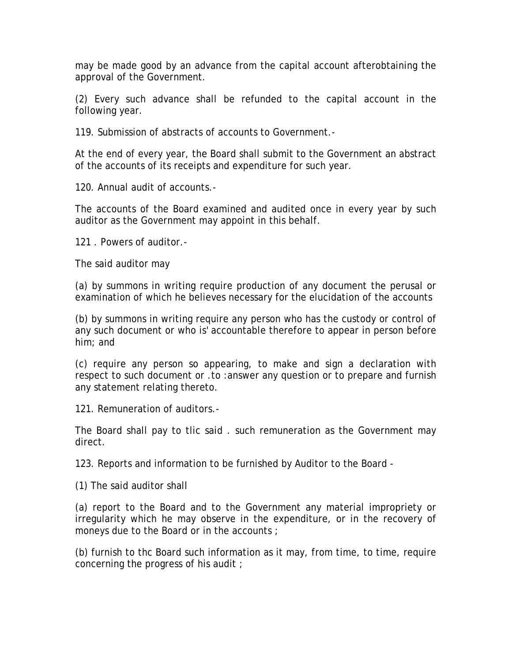may be made good by an advance from the capital account afterobtaining the approval of the Government.

(2) Every such advance shall be refunded to the capital account in the following year.

119. Submission of abstracts of accounts to Government.-

At the end of every year, the Board shall submit to the Government an abstract of the accounts of its receipts and expenditure for such year.

120. Annual audit of accounts.-

The accounts of the Board examined and audited once in every year by such auditor as the Government may appoint in this behalf.

121 . Powers of auditor.-

The said auditor may

(a) by summons in writing require production of any document the perusal or examination of which he believes necessary for the elucidation of the accounts

(b) by summons in writing require any person who has the custody or control of any such document or who is' accountable therefore to appear in person before him; and

(c) require any person so appearing, to make and sign a declaration with respect to such document or .to :answer any question or to prepare and furnish any statement relating thereto.

121. Remuneration of auditors.-

The Board shall pay to tlic said . such remuneration as the Government may direct.

123. Reports and information to be furnished by Auditor to the Board -

(1) The said auditor shall

(a) report to the Board and to the Government any material impropriety or irregularity which he may observe in the expenditure, or in the recovery of moneys due to the Board or in the accounts ;

(b) furnish to thc Board such information as it may, from time, to time, require concerning the progress of his audit ;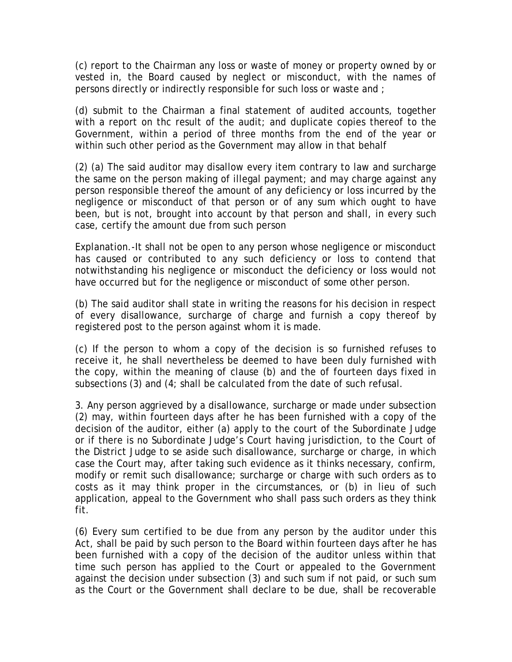(c) report to the Chairman any loss or waste of money or property owned by or vested in, the Board caused by neglect or misconduct, with the names of persons directly or indirectly responsible for such loss or waste and ;

(d) submit to the Chairman a final statement of audited accounts, together with a report on thc result of the audit; and duplicate copies thereof to the Government, within a period of three months from the end of the year or within such other period as the Government may allow in that behalf

(2) (a) The said auditor may disallow every item contrary to law and surcharge the same on the person making of illegal payment; and may charge against any person responsible thereof the amount of any deficiency or loss incurred by the negligence or misconduct of that person or of any sum which ought to have been, but is not, brought into account by that person and shall, in every such case, certify the amount due from such person

Explanation.-It shall not be open to any person whose negligence or misconduct has caused or contributed to any such deficiency or loss to contend that notwithstanding his negligence or misconduct the deficiency or loss would not have occurred but for the negligence or misconduct of some other person.

(b) The said auditor shall state in writing the reasons for his decision in respect of every disallowance, surcharge of charge and furnish a copy thereof by registered post to the person against whom it is made.

(c) If the person to whom a copy of the decision is so furnished refuses to receive it, he shall nevertheless be deemed to have been duly furnished with the copy, within the meaning of clause (b) and the of fourteen days fixed in subsections (3) and  $(4)$ ; shall be calculated from the date of such refusal.

3. Any person aggrieved by a disallowance, surcharge or made under subsection (2) may, within fourteen days after he has been furnished with a copy of the decision of the auditor, either (a) apply to the court of the Subordinate Judge or if there is no Subordinate Judge's Court having jurisdiction, to the Court of the District Judge to se aside such disallowance, surcharge or charge, in which case the Court may, after taking such evidence as it thinks necessary, confirm, modify or remit such disallowance; surcharge or charge with such orders as to costs as it may think proper in the circumstances, or (b) in lieu of such application, appeal to the Government who shall pass such orders as they think fit.

(6) Every sum certified to be due from any person by the auditor under this Act, shall be paid by such person to the Board within fourteen days after he has been furnished with a copy of the decision of the auditor unless within that time such person has applied to the Court or appealed to the Government against the decision under subsection (3) and such sum if not paid, or such sum as the Court or the Government shall declare to be due, shall be recoverable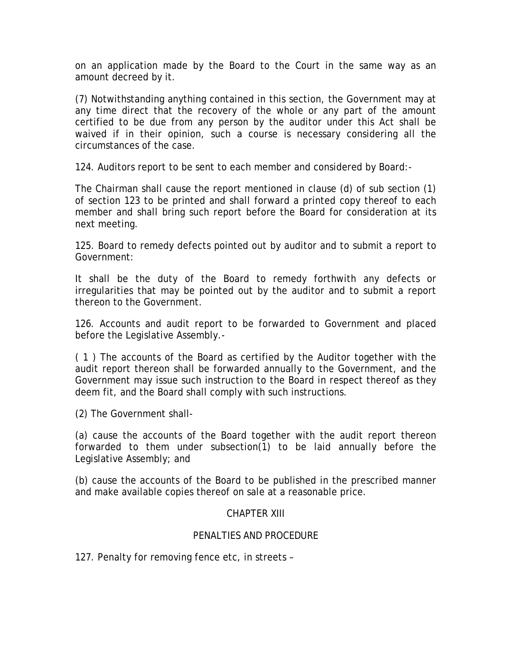on an application made by the Board to the Court in the same way as an amount decreed by it.

(7) Notwithstanding anything contained in this section, the Government may at any time direct that the recovery of the whole or any part of the amount certified to be due from any person by the auditor under this Act shall be waived if in their opinion, such a course is necessary considering all the circumstances of the case.

124. Auditors report to be sent to each member and considered by Board:-

The Chairman shall cause the report mentioned in clause (d) of sub section (1) of section 123 to be printed and shall forward a printed copy thereof to each member and shall bring such report before the Board for consideration at its next meeting.

125. Board to remedy defects pointed out by auditor and to submit a report to Government:

It shall be the duty of the Board to remedy forthwith any defects or irregularities that may be pointed out by the auditor and to submit a report thereon to the Government.

126. Accounts and audit report to be forwarded to Government and placed before the Legislative Assembly.-

( 1 ) The accounts of the Board as certified by the Auditor together with the audit report thereon shall be forwarded annually to the Government, and the Government may issue such instruction to the Board in respect thereof as they deem fit, and the Board shall comply with such instructions.

(2) The Government shall-

(a) cause the accounts of the Board together with the audit report thereon forwarded to them under subsection(1) to be laid annually before the Legislative Assembly; and

(b) cause the accounts of the Board to be published in the prescribed manner and make available copies thereof on sale at a reasonable price.

# CHAPTER XIII

### PENALTIES AND PROCEDURE

127. Penalty for removing fence etc, in streets –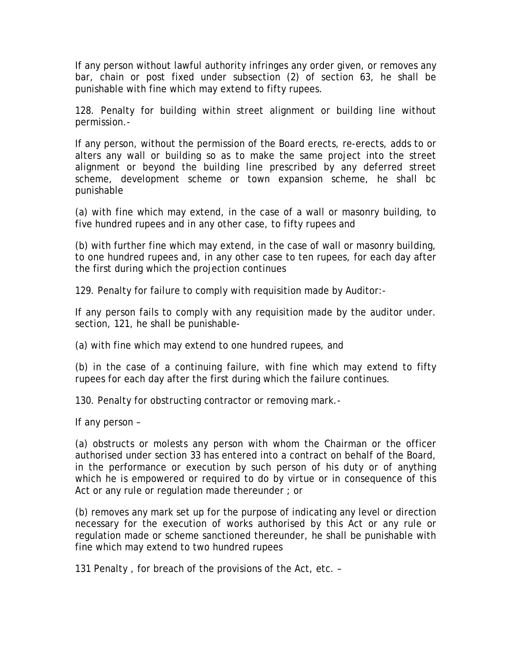If any person without lawful authority infringes any order given, or removes any bar, chain or post fixed under subsection (2) of section 63, he shall be punishable with fine which may extend to fifty rupees.

128. Penalty for building within street alignment or building line without permission.-

If any person, without the permission of the Board erects, re-erects, adds to or alters any wall or building so as to make the same project into the street alignment or beyond the building line prescribed by any deferred street scheme, development scheme or town expansion scheme, he shall bc punishable

(a) with fine which may extend, in the case of a wall or masonry building, to five hundred rupees and in any other case, to fifty rupees and

(b) with further fine which may extend, in the case of wall or masonry building, to one hundred rupees and, in any other case to ten rupees, for each day after the first during which the projection continues

129. Penalty for failure to comply with requisition made by Auditor:-

If any person fails to comply with any requisition made by the auditor under. section, 121, he shall be punishable-

(a) with fine which may extend to one hundred rupees, and

(b) in the case of a continuing failure, with fine which may extend to fifty rupees for each day after the first during which the failure continues.

130. Penalty for obstructing contractor or removing mark.-

If any person –

(a) obstructs or molests any person with whom the Chairman or the officer authorised under section 33 has entered into a contract on behalf of the Board, in the performance or execution by such person of his duty or of anything which he is empowered or required to do by virtue or in consequence of this Act or any rule or regulation made thereunder ; or

(b) removes any mark set up for the purpose of indicating any level or direction necessary for the execution of works authorised by this Act or any rule or regulation made or scheme sanctioned thereunder, he shall be punishable with fine which may extend to two hundred rupees

131 Penalty , for breach of the provisions of the Act, etc. –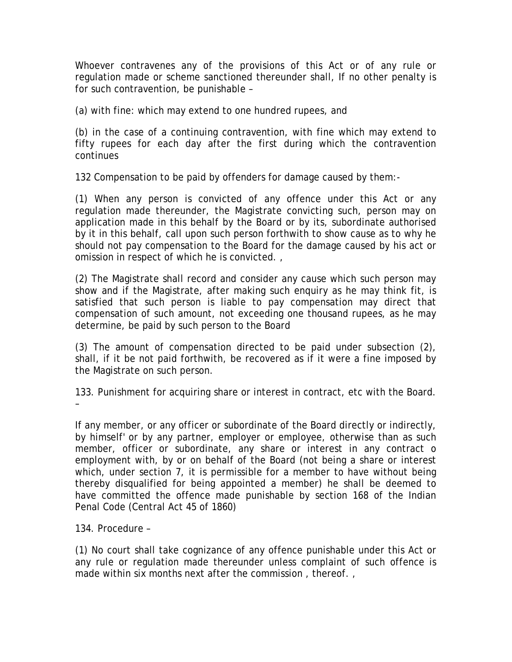Whoever contravenes any of the provisions of this Act or of any rule or regulation made or scheme sanctioned thereunder shall, If no other penalty is for such contravention, be punishable –

(a) with fine: which may extend to one hundred rupees, and

(b) in the case of a continuing contravention, with fine which may extend to fifty rupees for each day after the first during which the contravention continues

132 Compensation to be paid by offenders for damage caused by them:-

(1) When any person is convicted of any offence under this Act or any regulation made thereunder, the Magistrate convicting such, person may on application made in this behalf by the Board or by its, subordinate authorised by it in this behalf, call upon such person forthwith to show cause as to why he should not pay compensation to the Board for the damage caused by his act or omission in respect of which he is convicted. ,

(2) The Magistrate shall record and consider any cause which such person may show and if the Magistrate, after making such enquiry as he may think fit, is satisfied that such person is liable to pay compensation may direct that compensation of such amount, not exceeding one thousand rupees, as he may determine, be paid by such person to the Board

(3) The amount of compensation directed to be paid under subsection (2), shall, if it be not paid forthwith, be recovered as if it were a fine imposed by the Magistrate on such person.

133. Punishment for acquiring share or interest in contract, etc with the Board. –

If any member, or any officer or subordinate of the Board directly or indirectly, by himself' or by any partner, employer or employee, otherwise than as such member, officer or subordinate, any share or interest in any contract o employment with, by or on behalf of the Board (not being a share or interest which, under section 7, it is permissible for a member to have without being thereby disqualified for being appointed a member) he shall be deemed to have committed the offence made punishable by section 168 of the Indian Penal Code (Central Act 45 of 1860)

134. Procedure –

(1) No court shall take cognizance of any offence punishable under this Act or any rule or regulation made thereunder unless complaint of such offence is made within six months next after the commission , thereof. ,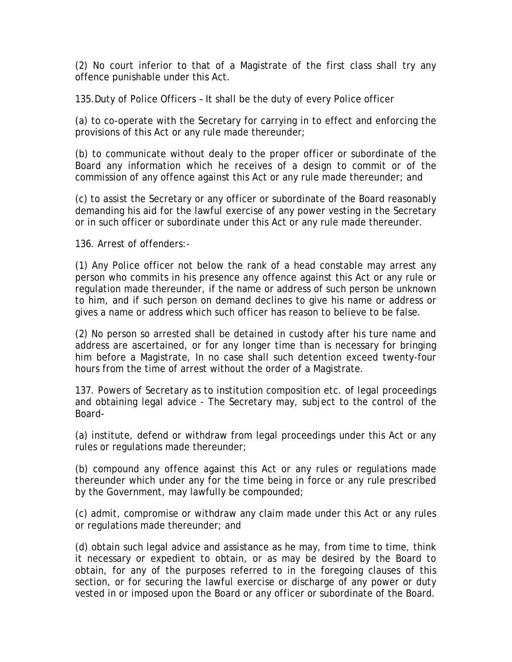(2) No court inferior to that of a Magistrate of the first class shall try any offence punishable under this Act.

135.Duty of Police Officers – It shall be the duty of every Police officer

(a) to co-operate with the Secretary for carrying in to effect and enforcing the provisions of this Act or any rule made thereunder;

(b) to communicate without dealy to the proper officer or subordinate of the Board any information which he receives of a design to commit or of the commission of any offence against this Act or any rule made thereunder; and

(c) to assist the Secretary or any officer or subordinate of the Board reasonably demanding his aid for the lawful exercise of any power vesting in the Secretary or in such officer or subordinate under this Act or any rule made thereunder.

136. Arrest of offenders:-

(1) Any Police officer not below the rank of a head constable may arrest any person who commits in his presence any offence against this Act or any rule or regulation made thereunder, if the name or address of such person be unknown to him, and if such person on demand declines to give his name or address or gives a name or address which such officer has reason to believe to be false.

(2) No person so arrested shall be detained in custody after his ture name and address are ascertained, or for any longer time than is necessary for bringing him before a Magistrate, In no case shall such detention exceed twenty-four hours from the time of arrest without the order of a Magistrate.

137. Powers of Secretary as to institution composition etc. of legal proceedings and obtaining legal advice - The Secretary may, subject to the control of the Board-

(a) institute, defend or withdraw from legal proceedings under this Act or any rules or regulations made thereunder;

(b) compound any offence against this Act or any rules or regulations made thereunder which under any for the time being in force or any rule prescribed by the Government, may lawfully be compounded;

(c) admit, compromise or withdraw any claim made under this Act or any rules or regulations made thereunder; and

(d) obtain such legal advice and assistance as he may, from time to time, think it necessary or expedient to obtain, or as may be desired by the Board to obtain, for any of the purposes referred to in the foregoing clauses of this section, or for securing the lawful exercise or discharge of any power or duty vested in or imposed upon the Board or any officer or subordinate of the Board.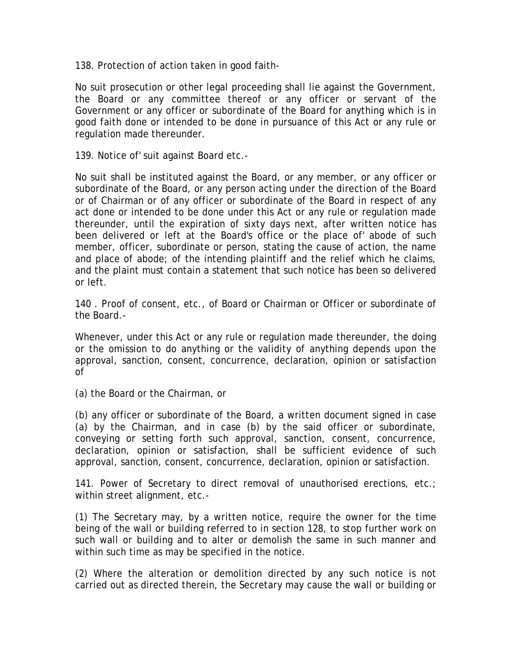138. Protection of action taken in good faith-

No suit prosecution or other legal proceeding shall lie against the Government, the Board or any committee thereof or any officer or servant of the Government or any officer or subordinate of the Board for anything which is in good faith done or intended to be done in pursuance of this Act or any rule or regulation made thereunder.

139. Notice of' suit against Board etc.-

No suit shall be instituted against the Board, or any member, or any officer or subordinate of the Board, or any person acting under the direction of the Board or of Chairman or of any officer or subordinate of the Board in respect of any act done or intended to be done under this Act or any rule or regulation made thereunder, until the expiration of sixty days next, after written notice has been delivered or left at the Board's office or the place of' abode of such member, officer, subordinate or person, stating the cause of action, the name and place of abode; of the intending plaintiff and the relief which he claims, and the plaint must contain a statement that such notice has been so delivered or left.

140 . Proof of consent, etc., of Board or Chairman or Officer or subordinate of the Board.-

Whenever, under this Act or any rule or regulation made thereunder, the doing or the omission to do anything or the validity of anything depends upon the approval, sanction, consent, concurrence, declaration, opinion or satisfaction of

(a) the Board or the Chairman, or

(b) any officer or subordinate of the Board, a written document signed in case (a) by the Chairman, and in case (b) by the said officer or subordinate, conveying or setting forth such approval, sanction, consent, concurrence, declaration, opinion or satisfaction, shall be sufficient evidence of such approval, sanction, consent, concurrence, declaration, opinion or satisfaction.

141. Power of Secretary to direct removal of unauthorised erections, etc.; within street alignment, etc.-

(1) The Secretary may, by a written notice, require the owner for the time being of the wall or building referred to in section 128, to stop further work on such wall or building and to alter or demolish the same in such manner and within such time as may be specified in the notice.

(2) Where the alteration or demolition directed by any such notice is not carried out as directed therein, the Secretary may cause the wall or building or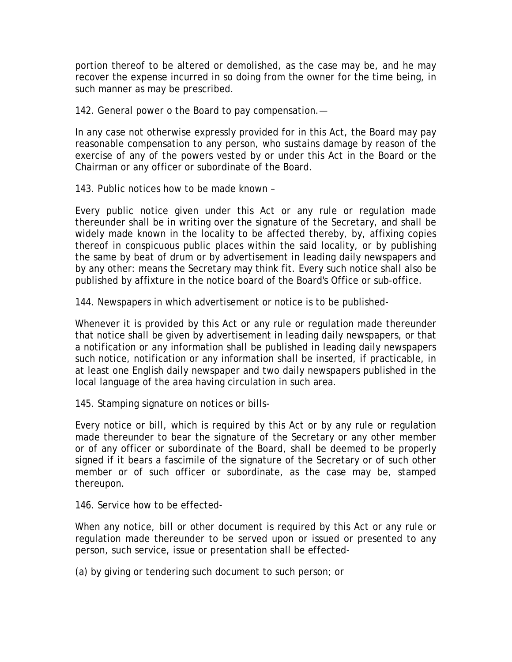portion thereof to be altered or demolished, as the case may be, and he may recover the expense incurred in so doing from the owner for the time being, in such manner as may be prescribed.

142. General power o the Board to pay compensation.—

In any case not otherwise expressly provided for in this Act, the Board may pay reasonable compensation to any person, who sustains damage by reason of the exercise of any of the powers vested by or under this Act in the Board or the Chairman or any officer or subordinate of the Board.

143. Public notices how to be made known –

Every public notice given under this Act or any rule or regulation made thereunder shall be in writing over the signature of the Secretary, and shall be widely made known in the locality to be affected thereby, by, affixing copies thereof in conspicuous public places within the said locality, or by publishing the same by beat of drum or by advertisement in leading daily newspapers and by any other: means the Secretary may think fit. Every such notice shall also be published by affixture in the notice board of the Board's Office or sub-office.

144. Newspapers in which advertisement or notice is to be published-

Whenever it is provided by this Act or any rule or regulation made thereunder that notice shall be given by advertisement in leading daily newspapers, or that a notification or any information shall be published in leading daily newspapers such notice, notification or any information shall be inserted, if practicable, in at least one English daily newspaper and two daily newspapers published in the local language of the area having circulation in such area.

145. Stamping signature on notices or bills-

Every notice or bill, which is required by this Act or by any rule or regulation made thereunder to bear the signature of the Secretary or any other member or of any officer or subordinate of the Board, shall be deemed to be properly signed if it bears a fascimile of the signature of the Secretary or of such other member or of such officer or subordinate, as the case may be, stamped thereupon.

146. Service how to be effected-

When any notice, bill or other document is required by this Act or any rule or regulation made thereunder to be served upon or issued or presented to any person, such service, issue or presentation shall be effected-

(a) by giving or tendering such document to such person; or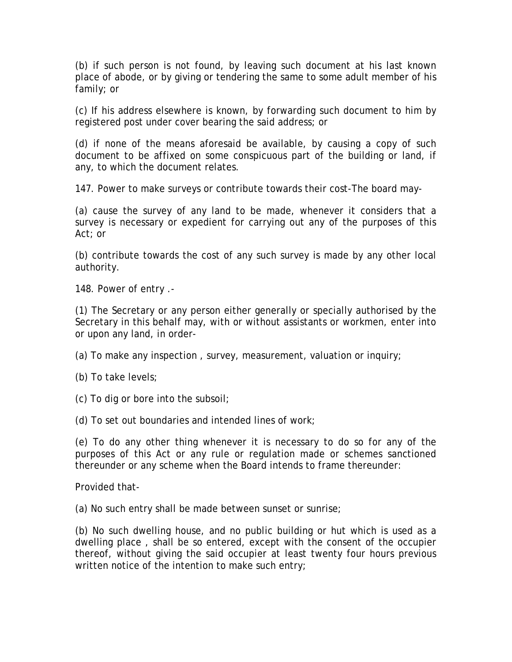(b) if such person is not found, by leaving such document at his last known place of abode, or by giving or tendering the same to some adult member of his family; or

(c) If his address elsewhere is known, by forwarding such document to him by registered post under cover bearing the said address; or

(d) if none of the means aforesaid be available, by causing a copy of such document to be affixed on some conspicuous part of the building or land, if any, to which the document relates.

147. Power to make surveys or contribute towards their cost-The board may-

(a) cause the survey of any land to be made, whenever it considers that a survey is necessary or expedient for carrying out any of the purposes of this Act; or

(b) contribute towards the cost of any such survey is made by any other local authority.

148. Power of entry .-

(1) The Secretary or any person either generally or specially authorised by the Secretary in this behalf may, with or without assistants or workmen, enter into or upon any land, in order-

(a) To make any inspection , survey, measurement, valuation or inquiry;

(b) To take levels;

(c) To dig or bore into the subsoil;

(d) To set out boundaries and intended lines of work;

(e) To do any other thing whenever it is necessary to do so for any of the purposes of this Act or any rule or regulation made or schemes sanctioned thereunder or any scheme when the Board intends to frame thereunder:

Provided that-

(a) No such entry shall be made between sunset or sunrise;

(b) No such dwelling house, and no public building or hut which is used as a dwelling place , shall be so entered, except with the consent of the occupier thereof, without giving the said occupier at least twenty four hours previous written notice of the intention to make such entry;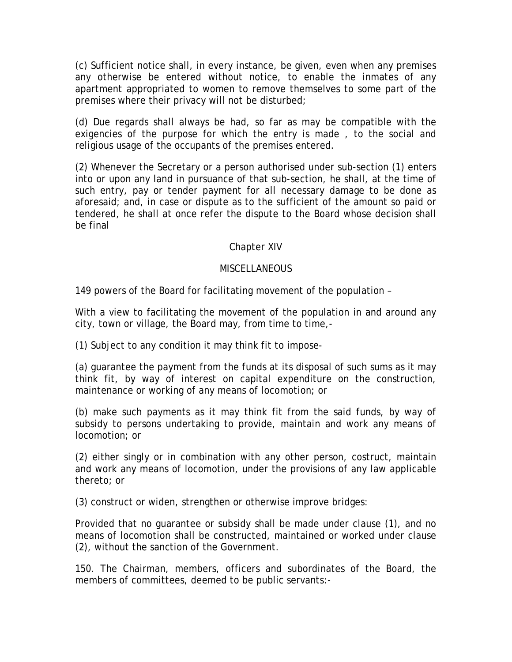(c) Sufficient notice shall, in every instance, be given, even when any premises any otherwise be entered without notice, to enable the inmates of any apartment appropriated to women to remove themselves to some part of the premises where their privacy will not be disturbed;

(d) Due regards shall always be had, so far as may be compatible with the exigencies of the purpose for which the entry is made , to the social and religious usage of the occupants of the premises entered.

(2) Whenever the Secretary or a person authorised under sub-section (1) enters into or upon any land in pursuance of that sub-section, he shall, at the time of such entry, pay or tender payment for all necessary damage to be done as aforesaid; and, in case or dispute as to the sufficient of the amount so paid or tendered, he shall at once refer the dispute to the Board whose decision shall be final

# Chapter XIV

### MISCELL ANEOUS.

149 powers of the Board for facilitating movement of the population –

With a view to facilitating the movement of the population in and around any city, town or village, the Board may, from time to time,-

(1) Subject to any condition it may think fit to impose-

(a) guarantee the payment from the funds at its disposal of such sums as it may think fit, by way of interest on capital expenditure on the construction, maintenance or working of any means of locomotion; or

(b) make such payments as it may think fit from the said funds, by way of subsidy to persons undertaking to provide, maintain and work any means of locomotion; or

(2) either singly or in combination with any other person, costruct, maintain and work any means of locomotion, under the provisions of any law applicable thereto; or

(3) construct or widen, strengthen or otherwise improve bridges:

Provided that no guarantee or subsidy shall be made under clause (1), and no means of locomotion shall be constructed, maintained or worked under clause (2), without the sanction of the Government.

150. The Chairman, members, officers and subordinates of the Board, the members of committees, deemed to be public servants:-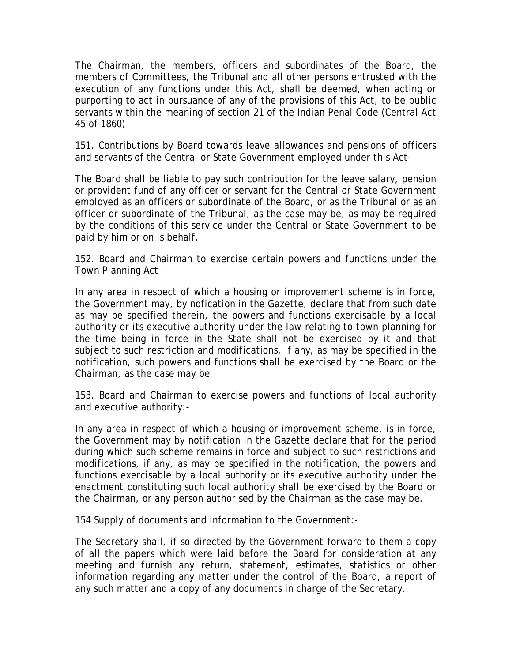The Chairman, the members, officers and subordinates of the Board, the members of Committees, the Tribunal and all other persons entrusted with the execution of any functions under this Act, shall be deemed, when acting or purporting to act in pursuance of any of the provisions of this Act, to be public servants within the meaning of section 21 of the Indian Penal Code (Central Act 45 of 1860)

151. Contributions by Board towards leave allowances and pensions of officers and servants of the Central or State Government employed under this Act-

The Board shall be liable to pay such contribution for the leave salary, pension or provident fund of any officer or servant for the Central or State Government employed as an officers or subordinate of the Board, or as the Tribunal or as an officer or subordinate of the Tribunal, as the case may be, as may be required by the conditions of this service under the Central or State Government to be paid by him or on is behalf.

152. Board and Chairman to exercise certain powers and functions under the Town Planning Act –

In any area in respect of which a housing or improvement scheme is in force, the Government may, by nofication in the Gazette, declare that from such date as may be specified therein, the powers and functions exercisable by a local authority or its executive authority under the law relating to town planning for the time being in force in the State shall not be exercised by it and that subject to such restriction and modifications, if any, as may be specified in the notification, such powers and functions shall be exercised by the Board or the Chairman, as the case may be

153. Board and Chairman to exercise powers and functions of local authority and executive authority:-

In any area in respect of which a housing or improvement scheme, is in force, the Government may by notification in the Gazette declare that for the period during which such scheme remains in force and subject to such restrictions and modifications, if any, as may be specified in the notification, the powers and functions exercisable by a local authority or its executive authority under the enactment constituting such local authority shall be exercised by the Board or the Chairman, or any person authorised by the Chairman as the case may be.

154 Supply of documents and information to the Government:-

The Secretary shall, if so directed by the Government forward to them a copy of all the papers which were laid before the Board for consideration at any meeting and furnish any return, statement, estimates, statistics or other information regarding any matter under the control of the Board, a report of any such matter and a copy of any documents in charge of the Secretary.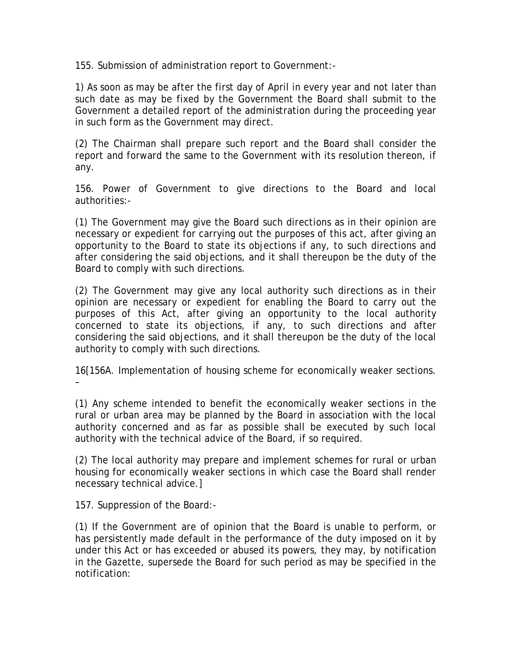155. Submission of administration report to Government:-

1) As soon as may be after the first day of April in every year and not later than such date as may be fixed by the Government the Board shall submit to the Government a detailed report of the administration during the proceeding year in such form as the Government may direct.

(2) The Chairman shall prepare such report and the Board shall consider the report and forward the same to the Government with its resolution thereon, if any.

156. Power of Government to give directions to the Board and local authorities:-

(1) The Government may give the Board such directions as in their opinion are necessary or expedient for carrying out the purposes of this act, after giving an opportunity to the Board to state its objections if any, to such directions and after considering the said objections, and it shall thereupon be the duty of the Board to comply with such directions.

(2) The Government may give any local authority such directions as in their opinion are necessary or expedient for enabling the Board to carry out the purposes of this Act, after giving an opportunity to the local authority concerned to state its objections, if any, to such directions and after considering the said objections, and it shall thereupon be the duty of the local authority to comply with such directions.

16[156A. Implementation of housing scheme for economically weaker sections. –

(1) Any scheme intended to benefit the economically weaker sections in the rural or urban area may be planned by the Board in association with the local authority concerned and as far as possible shall be executed by such local authority with the technical advice of the Board, if so required.

(2) The local authority may prepare and implement schemes for rural or urban housing for economically weaker sections in which case the Board shall render necessary technical advice.]

157. Suppression of the Board:-

(1) If the Government are of opinion that the Board is unable to perform, or has persistently made default in the performance of the duty imposed on it by under this Act or has exceeded or abused its powers, they may, by notification in the Gazette, supersede the Board for such period as may be specified in the notification: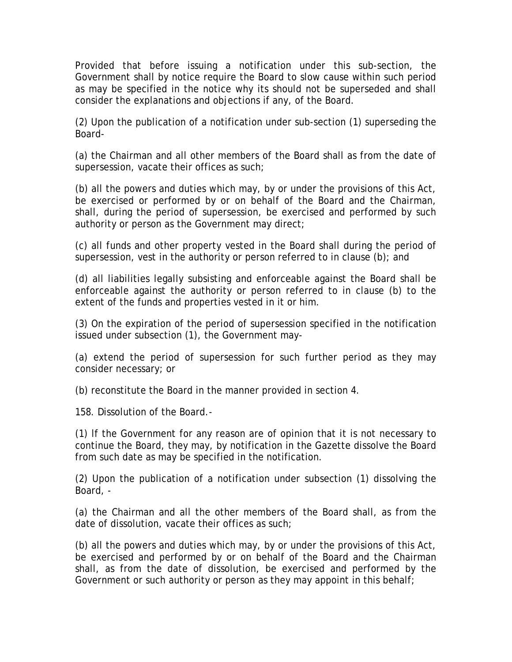Provided that before issuing a notification under this sub-section, the Government shall by notice require the Board to slow cause within such period as may be specified in the notice why its should not be superseded and shall consider the explanations and objections if any, of the Board.

(2) Upon the publication of a notification under sub-section (1) superseding the Board-

(a) the Chairman and all other members of the Board shall as from the date of supersession, vacate their offices as such;

(b) all the powers and duties which may, by or under the provisions of this Act, be exercised or performed by or on behalf of the Board and the Chairman, shall, during the period of supersession, be exercised and performed by such authority or person as the Government may direct;

(c) all funds and other property vested in the Board shall during the period of supersession, vest in the authority or person referred to in clause (b); and

(d) all liabilities legally subsisting and enforceable against the Board shall be enforceable against the authority or person referred to in clause (b) to the extent of the funds and properties vested in it or him.

(3) On the expiration of the period of supersession specified in the notification issued under subsection (1), the Government may-

(a) extend the period of supersession for such further period as they may consider necessary; or

(b) reconstitute the Board in the manner provided in section 4.

158. Dissolution of the Board.-

(1) lf the Government for any reason are of opinion that it is not necessary to continue the Board, they may, by notification in the Gazette dissolve the Board from such date as may be specified in the notification.

(2) Upon the publication of a notification under subsection (1) dissolving the Board, -

(a) the Chairman and all the other members of the Board shall, as from the date of dissolution, vacate their offices as such;

(b) all the powers and duties which may, by or under the provisions of this Act, be exercised and performed by or on behalf of the Board and the Chairman shall, as from the date of dissolution, be exercised and performed by the Government or such authority or person as they may appoint in this behalf;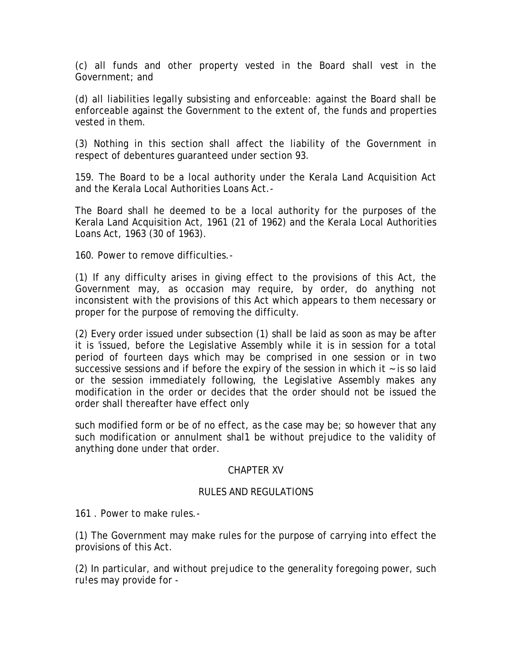(c) all funds and other property vested in the Board shall vest in the Government; and

(d) all liabilities legally subsisting and enforceable: against the Board shall be enforceable against the Government to the extent of, the funds and properties vested in them.

(3) Nothing in this section shall affect the liability of the Government in respect of debentures guaranteed under section 93.

159. The Board to be a local authority under the Kerala Land Acquisition Act and the Kerala Local Authorities Loans Act.-

The Board shall he deemed to be a local authority for the purposes of the Kerala Land Acquisition Act, 1961 (21 of 1962) and the Kerala Local Authorities Loans Act, 1963 (30 of 1963).

160. Power to remove difficulties.-

(1) If any difficulty arises in giving effect to the provisions of this Act, the Government may, as occasion may require, by order, do anything not inconsistent with the provisions of this Act which appears to them necessary or proper for the purpose of removing the difficulty.

(2) Every order issued under subsection (1) shall be laid as soon as may be after it is 'issued, before the Legislative Assembly while it is in session for a total period of fourteen days which may be comprised in one session or in two successive sessions and if before the expiry of the session in which it  $\sim$  is so laid or the session immediately following, the Legislative Assembly makes any modification in the order or decides that the order should not be issued the order shall thereafter have effect only

such modified form or be of no effect, as the case may be; so however that any such modification or annulment shal1 be without prejudice to the validity of anything done under that order.

# CHAPTER XV

### RULES AND REGULATlONS

161 . Power to make rules.-

(1) The Government may make rules for the purpose of carrying into effect the provisions of this Act.

(2) In particular, and without prejudice to the generality foregoing power, such ru!es may provide for -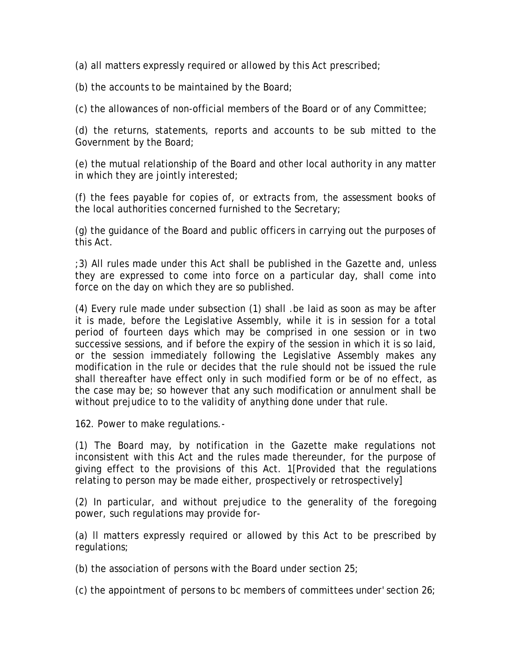(a) all matters expressly required or allowed by this Act prescribed;

(b) the accounts to be maintained by the Board;

(c) the allowances of non-official members of the Board or of any Committee;

(d) the returns, statements, reports and accounts to be sub mitted to the Government by the Board;

(e) the mutual relationship of the Board and other local authority in any matter in which they are jointly interested;

(f) the fees payable for copies of, or extracts from, the assessment books of the local authorities concerned furnished to the Secretary;

(g) the guidance of the Board and public officers in carrying out the purposes of this Act.

;3) All rules made under this Act shall be published in the Gazette and, unless they are expressed to come into force on a particular day, shall come into force on the day on which they are so published.

(4) Every rule made under subsection (1) shall .be laid as soon as may be after it is made, before the Legislative Assembly, while it is in session for a total period of fourteen days which may be comprised in one session or in two successive sessions, and if before the expiry of the session in which it is so laid, or the session immediately following the Legislative Assembly makes any modification in the rule or decides that the rule should not be issued the rule shall thereafter have effect only in such modified form or be of no effect, as the case may be; so however that any such modification or annulment shall be without prejudice to to the validity of anything done under that rule.

162. Power to make regulations.-

(1) The Board may, by notification in the Gazette make regulations not inconsistent with this Act and the rules made thereunder, for the purpose of giving effect to the provisions of this Act. 1[Provided that the regulations relating to person may be made either, prospectively or retrospectively]

(2) In particular, and without prejudice to the generality of the foregoing power, such regulations may provide for-

(a) ll matters expressly required or allowed by this Act to be prescribed by regulations;

(b) the association of persons with the Board under section 25;

(c) the appointment of persons to bc members of committees under' section 26;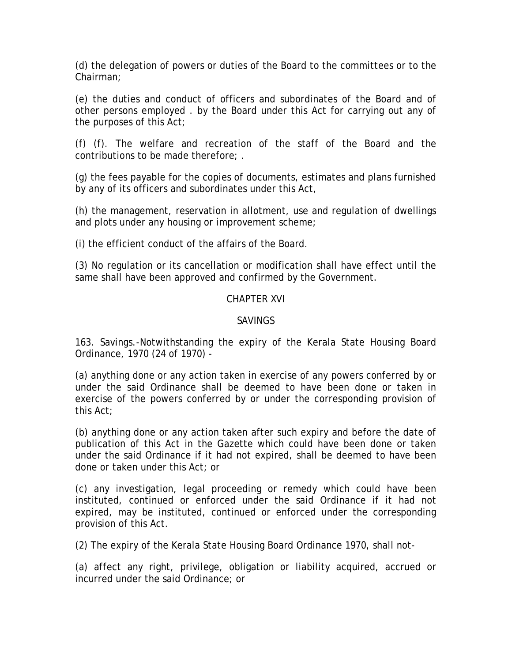(d) the delegation of powers or duties of the Board to the committees or to the Chairman;

(e) the duties and conduct of officers and subordinates of the Board and of other persons employed . by the Board under this Act for carrying out any of the purposes of this Act;

(f) (f). The welfare and recreation of the staff of the Board and the contributions to be made therefore; .

(g) the fees payable for the copies of documents, estimates and plans furnished by any of its officers and subordinates under this Act,

(h) the management, reservation in allotment, use and regulation of dwellings and plots under any housing or improvement scheme;

(i) the efficient conduct of the affairs of the Board.

(3) No regulation or its cancellation or modification shall have effect until the same shall have been approved and confirmed by the Government.

# CHAPTER XVI

# SAVINGS

163. Savings.-Notwithstanding the expiry of the Kerala State Housing Board Ordinance, 1970 (24 of 1970) -

(a) anything done or any action taken in exercise of any powers conferred by or under the said Ordinance shall be deemed to have been done or taken in exercise of the powers conferred by or under the corresponding provision of this Act;

(b) anything done or any action taken after such expiry and before the date of publication of this Act in the Gazette which could have been done or taken under the said Ordinance if it had not expired, shall be deemed to have been done or taken under this Act; or

(c) any investigation, legal proceeding or remedy which could have been instituted, continued or enforced under the said Ordinance if it had not expired, may be instituted, continued or enforced under the corresponding provision of this Act.

(2) The expiry of the Kerala State Housing Board Ordinance 1970, shall not-

(a) affect any right, privilege, obligation or liability acquired, accrued or incurred under the said Ordinance; or